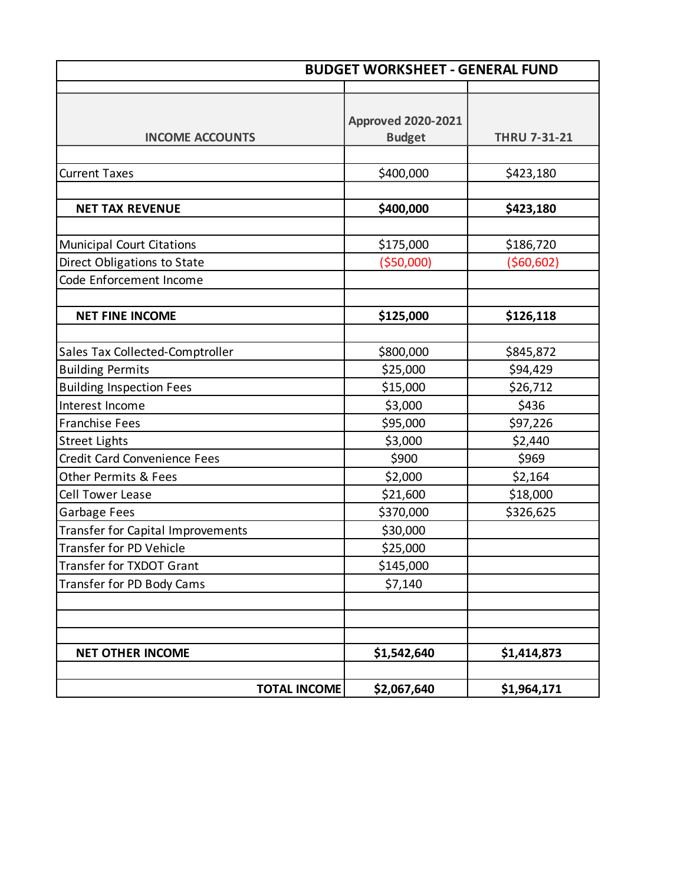| <b>BUDGET WORKSHEET - GENERAL FUND</b>                                 |                                            |                           |
|------------------------------------------------------------------------|--------------------------------------------|---------------------------|
| <b>INCOME ACCOUNTS</b>                                                 | <b>Approved 2020-2021</b><br><b>Budget</b> | <b>THRU 7-31-21</b>       |
| <b>Current Taxes</b>                                                   | \$400,000                                  | \$423,180                 |
| <b>NET TAX REVENUE</b>                                                 | \$400,000                                  | \$423,180                 |
| <b>Municipal Court Citations</b><br>Direct Obligations to State        | \$175,000<br>( \$50,000]                   | \$186,720<br>( \$60, 602) |
| Code Enforcement Income                                                |                                            |                           |
| <b>NET FINE INCOME</b>                                                 | \$125,000                                  | \$126,118                 |
| Sales Tax Collected-Comptroller                                        | \$800,000                                  | \$845,872                 |
| <b>Building Permits</b><br><b>Building Inspection Fees</b>             | \$25,000<br>\$15,000                       | \$94,429<br>\$26,712      |
| Interest Income                                                        | \$3,000                                    | \$436                     |
| <b>Franchise Fees</b><br><b>Street Lights</b>                          | \$95,000<br>\$3,000                        | \$97,226<br>\$2,440       |
| <b>Credit Card Convenience Fees</b><br><b>Other Permits &amp; Fees</b> | \$900<br>\$2,000                           | \$969<br>\$2,164          |
| <b>Cell Tower Lease</b>                                                | \$21,600                                   | \$18,000                  |
| Garbage Fees<br>Transfer for Capital Improvements                      | \$370,000<br>\$30,000                      | \$326,625                 |
| <b>Transfer for PD Vehicle</b><br>Transfer for TXDOT Grant             | \$25,000<br>\$145,000                      |                           |
| Transfer for PD Body Cams                                              | \$7,140                                    |                           |
|                                                                        |                                            |                           |
| <b>NET OTHER INCOME</b>                                                | \$1,542,640                                | \$1,414,873               |
| <b>TOTAL INCOME</b>                                                    | \$2,067,640                                | \$1,964,171               |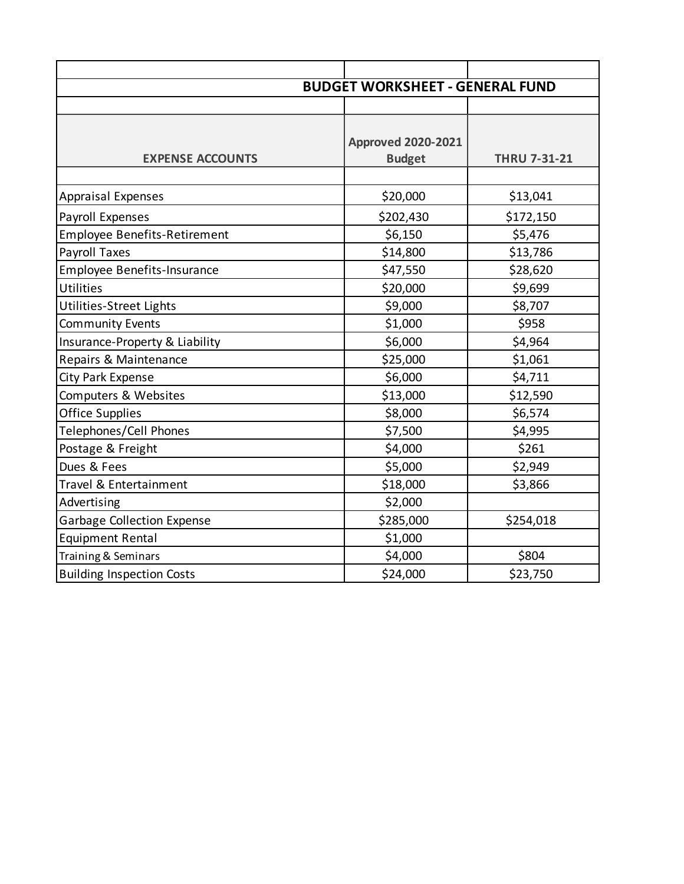|                                     | <b>BUDGET WORKSHEET - GENERAL FUND</b>     |                     |
|-------------------------------------|--------------------------------------------|---------------------|
|                                     |                                            |                     |
| <b>EXPENSE ACCOUNTS</b>             | <b>Approved 2020-2021</b><br><b>Budget</b> | <b>THRU 7-31-21</b> |
| <b>Appraisal Expenses</b>           | \$20,000                                   | \$13,041            |
| Payroll Expenses                    | \$202,430                                  | \$172,150           |
| <b>Employee Benefits-Retirement</b> | \$6,150                                    | \$5,476             |
| Payroll Taxes                       | \$14,800                                   | \$13,786            |
| <b>Employee Benefits-Insurance</b>  | \$47,550                                   | \$28,620            |
| Utilities                           | \$20,000                                   | \$9,699             |
| Utilities-Street Lights             | \$9,000                                    | \$8,707             |
| <b>Community Events</b>             | \$1,000                                    | \$958               |
| Insurance-Property & Liability      | \$6,000                                    | \$4,964             |
| Repairs & Maintenance               | \$25,000                                   | \$1,061             |
| City Park Expense                   | \$6,000                                    | \$4,711             |
| Computers & Websites                | \$13,000                                   | \$12,590            |
| <b>Office Supplies</b>              | \$8,000                                    | \$6,574             |
| Telephones/Cell Phones              | \$7,500                                    | \$4,995             |
| Postage & Freight                   | \$4,000                                    | \$261               |
| Dues & Fees                         | \$5,000                                    | \$2,949             |
| Travel & Entertainment              | \$18,000                                   | \$3,866             |
| Advertising                         | \$2,000                                    |                     |
| <b>Garbage Collection Expense</b>   | \$285,000                                  | \$254,018           |
| <b>Equipment Rental</b>             | \$1,000                                    |                     |
| Training & Seminars                 | \$4,000                                    | \$804               |
| <b>Building Inspection Costs</b>    | \$24,000                                   | \$23,750            |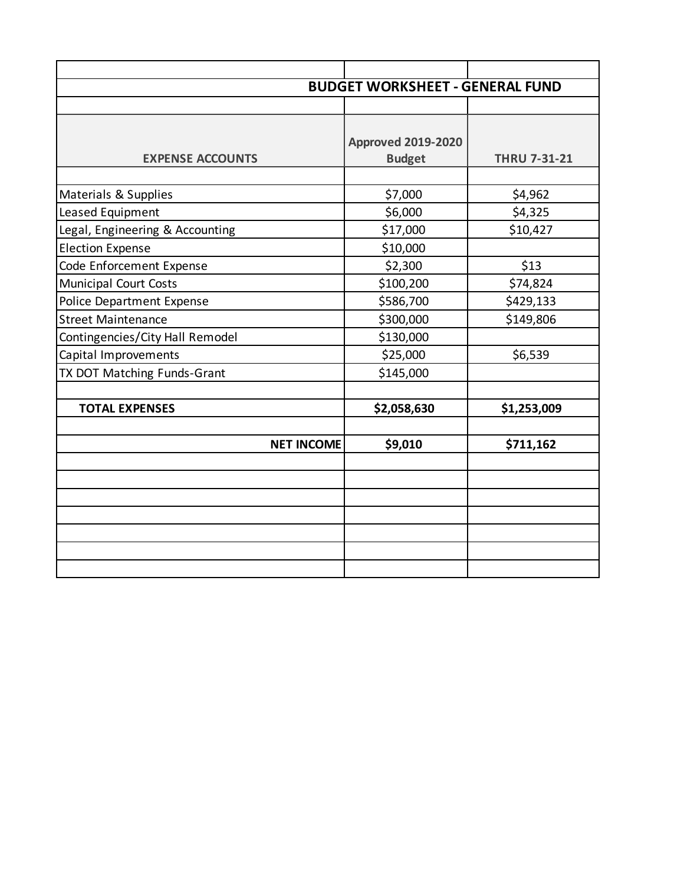|                                  | <b>BUDGET WORKSHEET - GENERAL FUND</b> |                     |
|----------------------------------|----------------------------------------|---------------------|
|                                  |                                        |                     |
|                                  |                                        |                     |
|                                  | <b>Approved 2019-2020</b>              |                     |
| <b>EXPENSE ACCOUNTS</b>          | <b>Budget</b>                          | <b>THRU 7-31-21</b> |
|                                  |                                        |                     |
| Materials & Supplies             | \$7,000                                | \$4,962             |
| Leased Equipment                 | \$6,000                                | \$4,325             |
| Legal, Engineering & Accounting  | \$17,000                               | \$10,427            |
| <b>Election Expense</b>          | \$10,000                               |                     |
| Code Enforcement Expense         | \$2,300                                | \$13                |
| <b>Municipal Court Costs</b>     | \$100,200                              | \$74,824            |
| <b>Police Department Expense</b> | \$586,700                              | \$429,133           |
| <b>Street Maintenance</b>        | \$300,000                              | \$149,806           |
| Contingencies/City Hall Remodel  | \$130,000                              |                     |
| Capital Improvements             | \$25,000                               | \$6,539             |
| TX DOT Matching Funds-Grant      | \$145,000                              |                     |
|                                  |                                        |                     |
| <b>TOTAL EXPENSES</b>            | \$2,058,630                            | \$1,253,009         |
| <b>NET INCOME</b>                | \$9,010                                | \$711,162           |
|                                  |                                        |                     |
|                                  |                                        |                     |
|                                  |                                        |                     |
|                                  |                                        |                     |
|                                  |                                        |                     |
|                                  |                                        |                     |
|                                  |                                        |                     |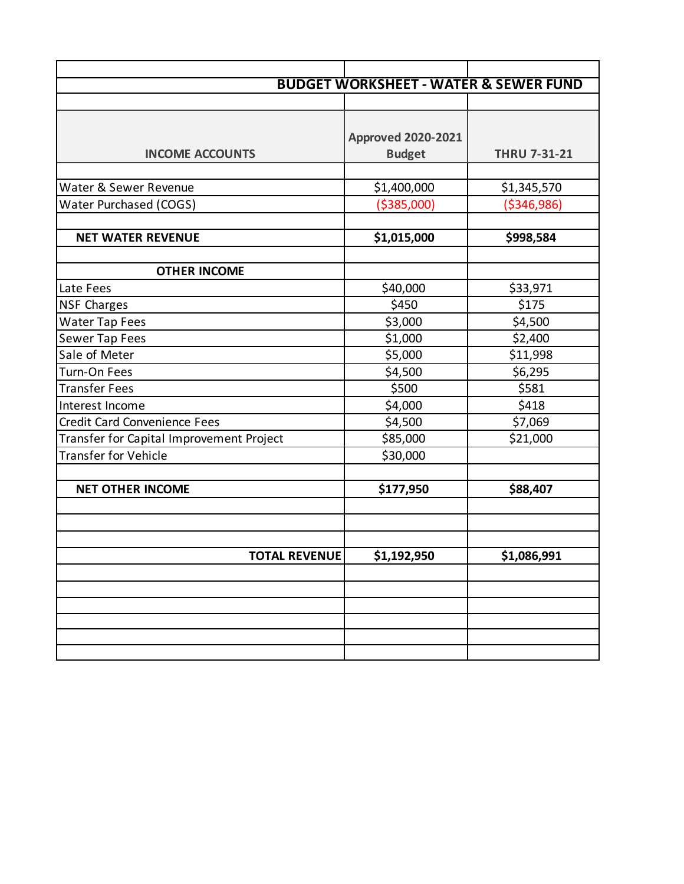|                                          | <b>BUDGET WORKSHEET - WATER &amp; SEWER FUND</b> |                     |
|------------------------------------------|--------------------------------------------------|---------------------|
|                                          |                                                  |                     |
|                                          |                                                  |                     |
|                                          | <b>Approved 2020-2021</b>                        |                     |
| <b>INCOME ACCOUNTS</b>                   | <b>Budget</b>                                    | <b>THRU 7-31-21</b> |
|                                          |                                                  |                     |
| Water & Sewer Revenue                    | \$1,400,000                                      | \$1,345,570         |
| Water Purchased (COGS)                   | ( \$385,000)                                     | ( \$346, 986)       |
|                                          |                                                  |                     |
| <b>NET WATER REVENUE</b>                 | \$1,015,000                                      | \$998,584           |
|                                          |                                                  |                     |
| <b>OTHER INCOME</b>                      |                                                  |                     |
| Late Fees                                | \$40,000                                         | \$33,971            |
| <b>NSF Charges</b>                       | \$450                                            | \$175               |
| <b>Water Tap Fees</b>                    | \$3,000                                          | \$4,500             |
| Sewer Tap Fees                           | \$1,000                                          | \$2,400             |
| Sale of Meter                            | \$5,000                                          | \$11,998            |
| Turn-On Fees                             | \$4,500                                          | \$6,295             |
| <b>Transfer Fees</b>                     | \$500                                            | \$581               |
| Interest Income                          | \$4,000                                          | \$418               |
| <b>Credit Card Convenience Fees</b>      | \$4,500                                          | \$7,069             |
| Transfer for Capital Improvement Project | \$85,000                                         | \$21,000            |
| <b>Transfer for Vehicle</b>              | \$30,000                                         |                     |
|                                          |                                                  |                     |
| <b>NET OTHER INCOME</b>                  | \$177,950                                        | \$88,407            |
|                                          |                                                  |                     |
|                                          |                                                  |                     |
|                                          |                                                  |                     |
| <b>TOTAL REVENUE</b>                     | \$1,192,950                                      | \$1,086,991         |
|                                          |                                                  |                     |
|                                          |                                                  |                     |
|                                          |                                                  |                     |
|                                          |                                                  |                     |
|                                          |                                                  |                     |
|                                          |                                                  |                     |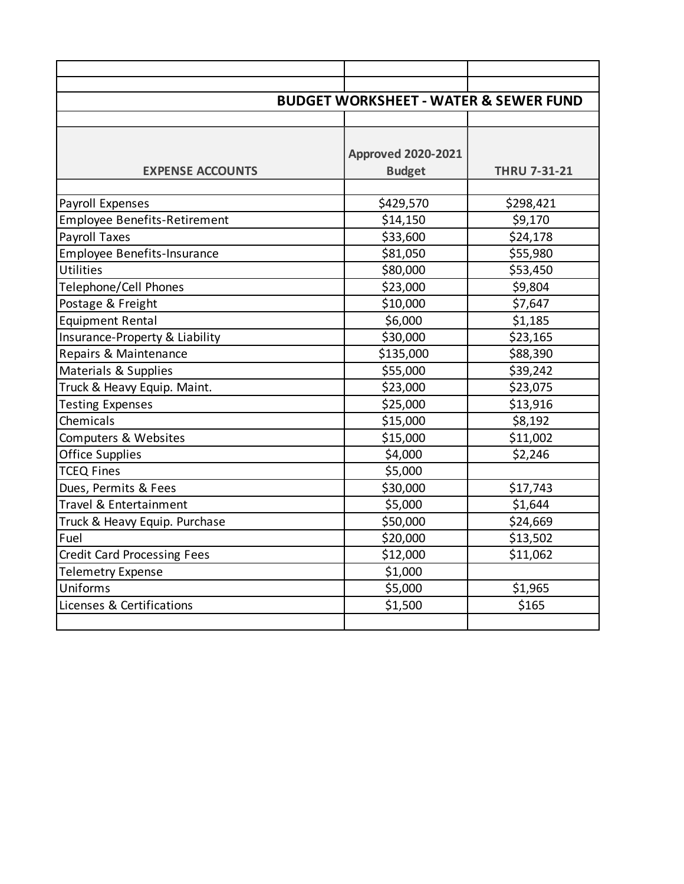|                                     | <b>BUDGET WORKSHEET - WATER &amp; SEWER FUND</b> |                     |
|-------------------------------------|--------------------------------------------------|---------------------|
|                                     |                                                  |                     |
|                                     |                                                  |                     |
|                                     | <b>Approved 2020-2021</b>                        |                     |
| <b>EXPENSE ACCOUNTS</b>             | <b>Budget</b>                                    | <b>THRU 7-31-21</b> |
|                                     |                                                  |                     |
| Payroll Expenses                    | \$429,570                                        | \$298,421           |
| <b>Employee Benefits-Retirement</b> | \$14,150                                         | \$9,170             |
| <b>Payroll Taxes</b>                | \$33,600                                         | \$24,178            |
| <b>Employee Benefits-Insurance</b>  | \$81,050                                         | \$55,980            |
| Utilities                           | \$80,000                                         | \$53,450            |
| Telephone/Cell Phones               | \$23,000                                         | \$9,804             |
| Postage & Freight                   | \$10,000                                         | \$7,647             |
| <b>Equipment Rental</b>             | \$6,000                                          | \$1,185             |
| Insurance-Property & Liability      | \$30,000                                         | \$23,165            |
| Repairs & Maintenance               | \$135,000                                        | \$88,390            |
| Materials & Supplies                | \$55,000                                         | \$39,242            |
| Truck & Heavy Equip. Maint.         | \$23,000                                         | \$23,075            |
| <b>Testing Expenses</b>             | \$25,000                                         | \$13,916            |
| Chemicals                           | \$15,000                                         | \$8,192             |
| Computers & Websites                | \$15,000                                         | \$11,002            |
| <b>Office Supplies</b>              | \$4,000                                          | \$2,246             |
| <b>TCEQ Fines</b>                   | \$5,000                                          |                     |
| Dues, Permits & Fees                | \$30,000                                         | \$17,743            |
| Travel & Entertainment              | \$5,000                                          | \$1,644             |
| Truck & Heavy Equip. Purchase       | \$50,000                                         | \$24,669            |
| Fuel                                | \$20,000                                         | \$13,502            |
| <b>Credit Card Processing Fees</b>  | \$12,000                                         | \$11,062            |
| <b>Telemetry Expense</b>            | \$1,000                                          |                     |
| Uniforms                            | \$5,000                                          | \$1,965             |
| Licenses & Certifications           | \$1,500                                          | \$165               |
|                                     |                                                  |                     |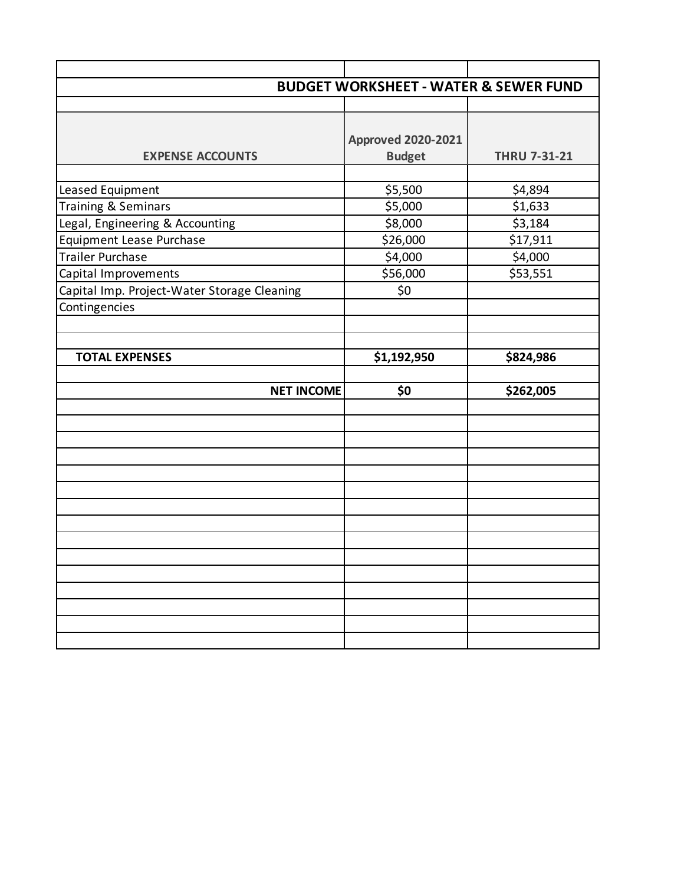|                                             | <b>BUDGET WORKSHEET - WATER &amp; SEWER FUND</b> |                     |
|---------------------------------------------|--------------------------------------------------|---------------------|
|                                             |                                                  |                     |
|                                             |                                                  |                     |
|                                             | <b>Approved 2020-2021</b>                        |                     |
| <b>EXPENSE ACCOUNTS</b>                     | <b>Budget</b>                                    | <b>THRU 7-31-21</b> |
|                                             |                                                  |                     |
| Leased Equipment                            | \$5,500                                          | \$4,894             |
| <b>Training &amp; Seminars</b>              | \$5,000                                          | \$1,633             |
| Legal, Engineering & Accounting             | \$8,000                                          | \$3,184             |
| <b>Equipment Lease Purchase</b>             | \$26,000                                         | \$17,911            |
| <b>Trailer Purchase</b>                     | \$4,000                                          | \$4,000             |
| Capital Improvements                        | \$56,000                                         | \$53,551            |
| Capital Imp. Project-Water Storage Cleaning | \$0                                              |                     |
| Contingencies                               |                                                  |                     |
|                                             |                                                  |                     |
|                                             |                                                  |                     |
| <b>TOTAL EXPENSES</b>                       | \$1,192,950                                      | \$824,986           |
|                                             |                                                  |                     |
| <b>NET INCOME</b>                           | \$0                                              | \$262,005           |
|                                             |                                                  |                     |
|                                             |                                                  |                     |
|                                             |                                                  |                     |
|                                             |                                                  |                     |
|                                             |                                                  |                     |
|                                             |                                                  |                     |
|                                             |                                                  |                     |
|                                             |                                                  |                     |
|                                             |                                                  |                     |
|                                             |                                                  |                     |
|                                             |                                                  |                     |
|                                             |                                                  |                     |
|                                             |                                                  |                     |
|                                             |                                                  |                     |
|                                             |                                                  |                     |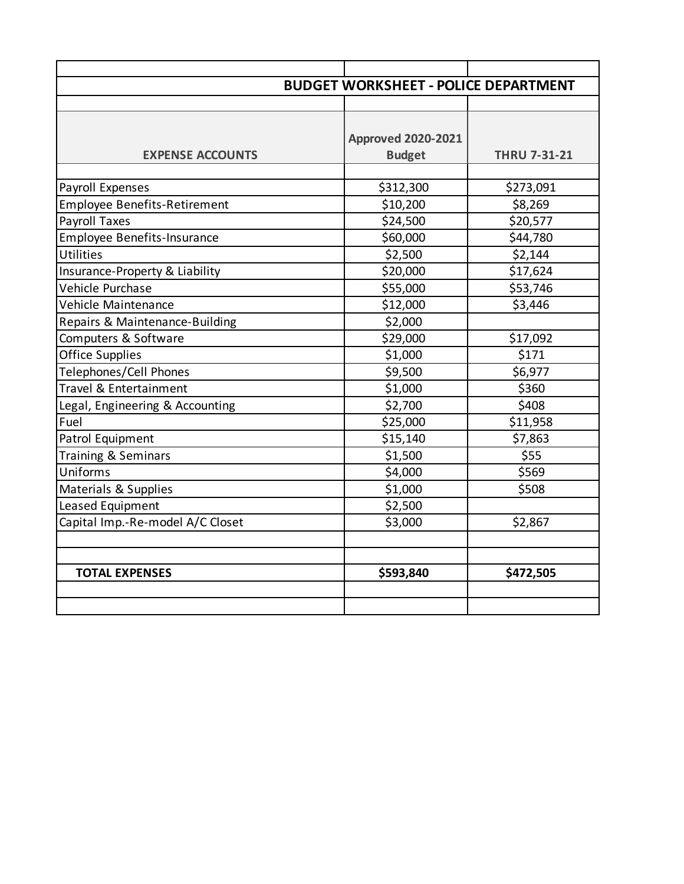| <b>BUDGET WORKSHEET - POLICE DEPARTMENT</b> |                                   |
|---------------------------------------------|-----------------------------------|
|                                             |                                   |
|                                             |                                   |
| <b>Approved 2020-2021</b>                   |                                   |
| <b>Budget</b>                               | <b>THRU 7-31-21</b>               |
|                                             |                                   |
|                                             | \$273,091                         |
|                                             | \$8,269                           |
|                                             | \$20,577                          |
| \$60,000                                    | \$44,780                          |
| \$2,500                                     | \$2,144                           |
| \$20,000                                    | \$17,624                          |
| \$55,000                                    | \$53,746                          |
| \$12,000                                    | \$3,446                           |
| \$2,000                                     |                                   |
| \$29,000                                    | \$17,092                          |
| \$1,000                                     | \$171                             |
| \$9,500                                     | \$6,977                           |
| \$1,000                                     | \$360                             |
| \$2,700                                     | \$408                             |
| \$25,000                                    | \$11,958                          |
| \$15,140                                    | \$7,863                           |
| \$1,500                                     | \$55                              |
| \$4,000                                     | \$569                             |
| \$1,000                                     | \$508                             |
| \$2,500                                     |                                   |
| \$3,000                                     | \$2,867                           |
|                                             |                                   |
|                                             |                                   |
| \$593,840                                   | \$472,505                         |
|                                             |                                   |
|                                             |                                   |
|                                             | \$312,300<br>\$10,200<br>\$24,500 |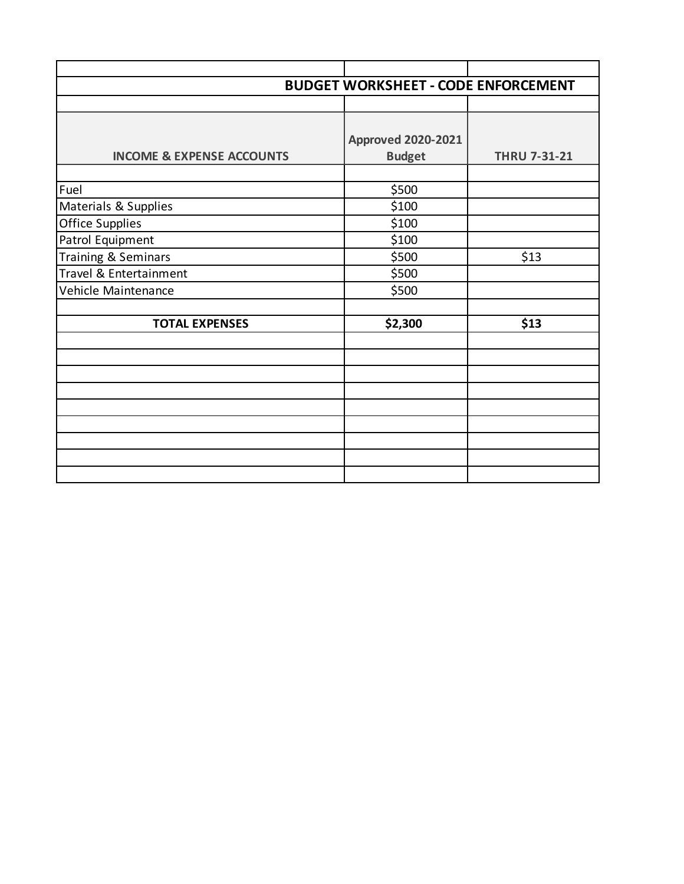|                                      | <b>BUDGET WORKSHEET - CODE ENFORCEMENT</b> |                     |
|--------------------------------------|--------------------------------------------|---------------------|
|                                      |                                            |                     |
|                                      |                                            |                     |
|                                      | <b>Approved 2020-2021</b>                  |                     |
| <b>INCOME &amp; EXPENSE ACCOUNTS</b> | <b>Budget</b>                              | <b>THRU 7-31-21</b> |
|                                      |                                            |                     |
| Fuel                                 | \$500                                      |                     |
| Materials & Supplies                 | \$100                                      |                     |
| <b>Office Supplies</b>               | \$100                                      |                     |
| Patrol Equipment                     | \$100                                      |                     |
| Training & Seminars                  | \$500                                      | \$13                |
| Travel & Entertainment               | \$500                                      |                     |
| Vehicle Maintenance                  | \$500                                      |                     |
|                                      |                                            |                     |
| <b>TOTAL EXPENSES</b>                | \$2,300                                    | \$13                |
|                                      |                                            |                     |
|                                      |                                            |                     |
|                                      |                                            |                     |
|                                      |                                            |                     |
|                                      |                                            |                     |
|                                      |                                            |                     |
|                                      |                                            |                     |
|                                      |                                            |                     |
|                                      |                                            |                     |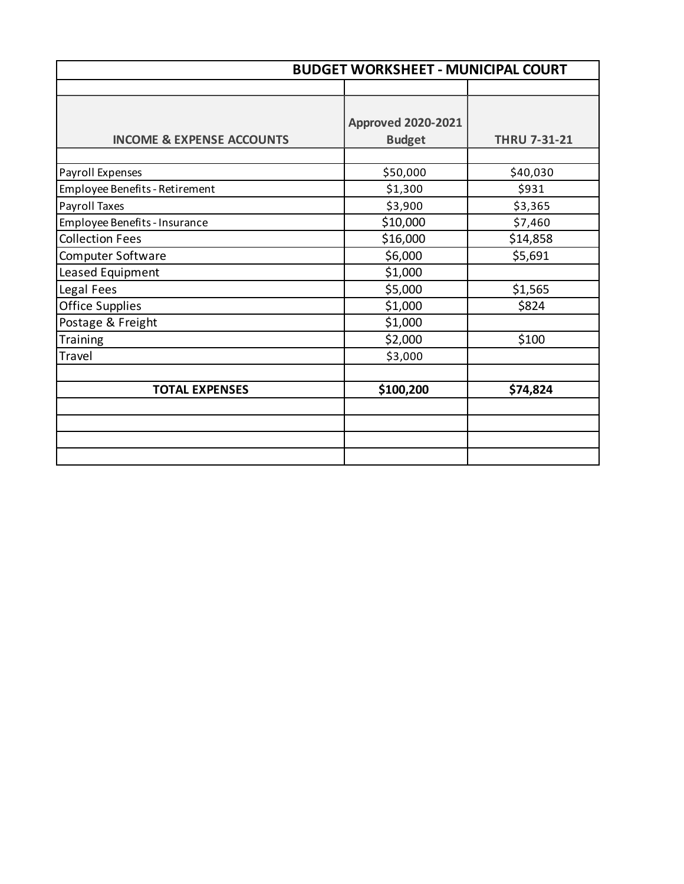| <b>BUDGET WORKSHEET - MUNICIPAL COURT</b> |                                            |                     |
|-------------------------------------------|--------------------------------------------|---------------------|
|                                           |                                            |                     |
| <b>INCOME &amp; EXPENSE ACCOUNTS</b>      | <b>Approved 2020-2021</b><br><b>Budget</b> | <b>THRU 7-31-21</b> |
|                                           |                                            |                     |
| Payroll Expenses                          | \$50,000                                   | \$40,030            |
| Employee Benefits - Retirement            | \$1,300                                    | \$931               |
| Payroll Taxes                             | \$3,900                                    | \$3,365             |
| Employee Benefits - Insurance             | \$10,000                                   | \$7,460             |
| <b>Collection Fees</b>                    | \$16,000                                   | \$14,858            |
| Computer Software                         | \$6,000                                    | \$5,691             |
| Leased Equipment                          | \$1,000                                    |                     |
| Legal Fees                                | \$5,000                                    | \$1,565             |
| <b>Office Supplies</b>                    | \$1,000                                    | \$824               |
| Postage & Freight                         | \$1,000                                    |                     |
| Training                                  | \$2,000                                    | \$100               |
| Travel                                    | \$3,000                                    |                     |
|                                           |                                            |                     |
| <b>TOTAL EXPENSES</b>                     | \$100,200                                  | \$74,824            |
|                                           |                                            |                     |
|                                           |                                            |                     |
|                                           |                                            |                     |
|                                           |                                            |                     |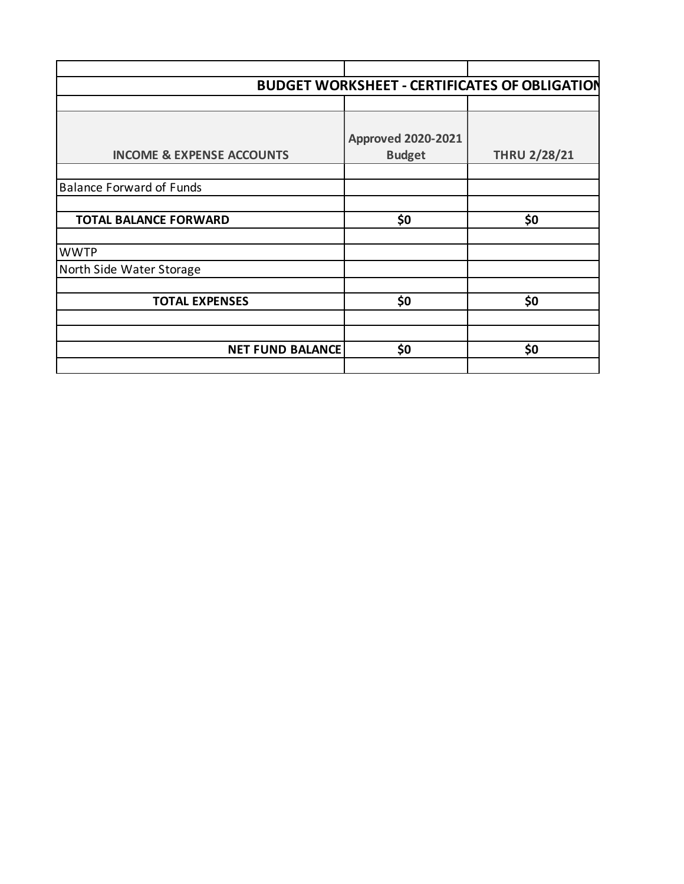|                                      |                           | <b>BUDGET WORKSHEET - CERTIFICATES OF OBLIGATION</b> |
|--------------------------------------|---------------------------|------------------------------------------------------|
|                                      |                           |                                                      |
|                                      |                           |                                                      |
|                                      | <b>Approved 2020-2021</b> |                                                      |
| <b>INCOME &amp; EXPENSE ACCOUNTS</b> | <b>Budget</b>             | <b>THRU 2/28/21</b>                                  |
|                                      |                           |                                                      |
| <b>Balance Forward of Funds</b>      |                           |                                                      |
|                                      |                           |                                                      |
| <b>TOTAL BALANCE FORWARD</b>         | \$0                       | \$0                                                  |
|                                      |                           |                                                      |
| <b>WWTP</b>                          |                           |                                                      |
| North Side Water Storage             |                           |                                                      |
|                                      |                           |                                                      |
| <b>TOTAL EXPENSES</b>                | \$0                       | \$0                                                  |
|                                      |                           |                                                      |
|                                      |                           |                                                      |
| <b>NET FUND BALANCE</b>              | \$0                       | \$0                                                  |
|                                      |                           |                                                      |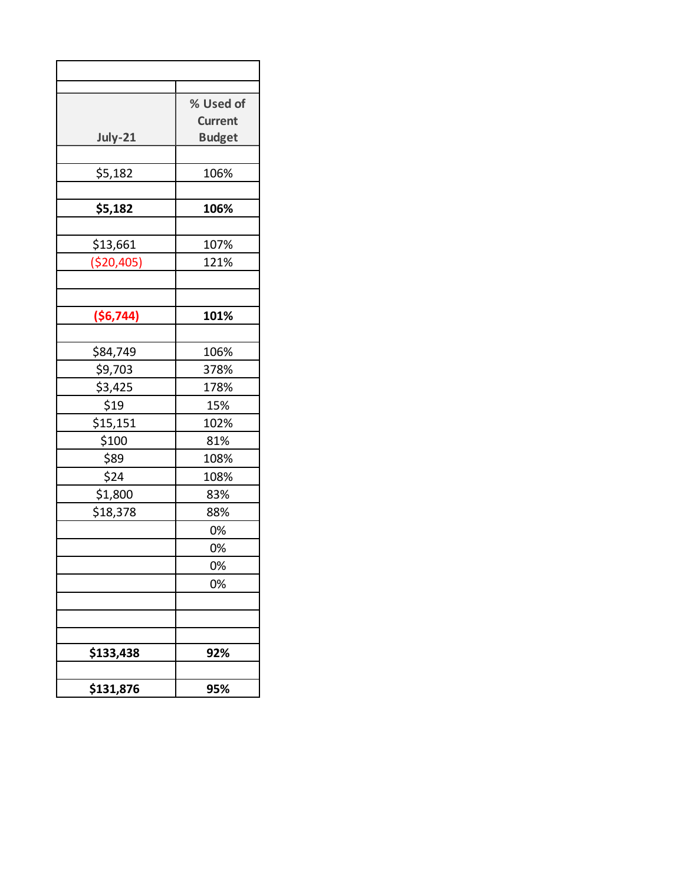|            | % Used of      |
|------------|----------------|
|            | <b>Current</b> |
| July-21    | <b>Budget</b>  |
|            |                |
| \$5,182    | 106%           |
|            |                |
| \$5,182    | 106%           |
|            |                |
| \$13,661   | 107%           |
| (\$20,405) | 121%           |
|            |                |
| (\$6,744)  | 101%           |
|            |                |
| \$84,749   | 106%           |
| \$9,703    | 378%           |
| \$3,425    | 178%           |
| \$19       | 15%            |
| \$15,151   | 102%           |
| \$100      | 81%            |
| \$89       | 108%           |
| \$24       | 108%           |
| \$1,800    | 83%            |
| \$18,378   | 88%            |
|            | 0%             |
|            | 0%             |
|            | 0%             |
|            | 0%             |
|            |                |
|            |                |
|            |                |
| \$133,438  | 92%            |
| \$131,876  | 95%            |
|            |                |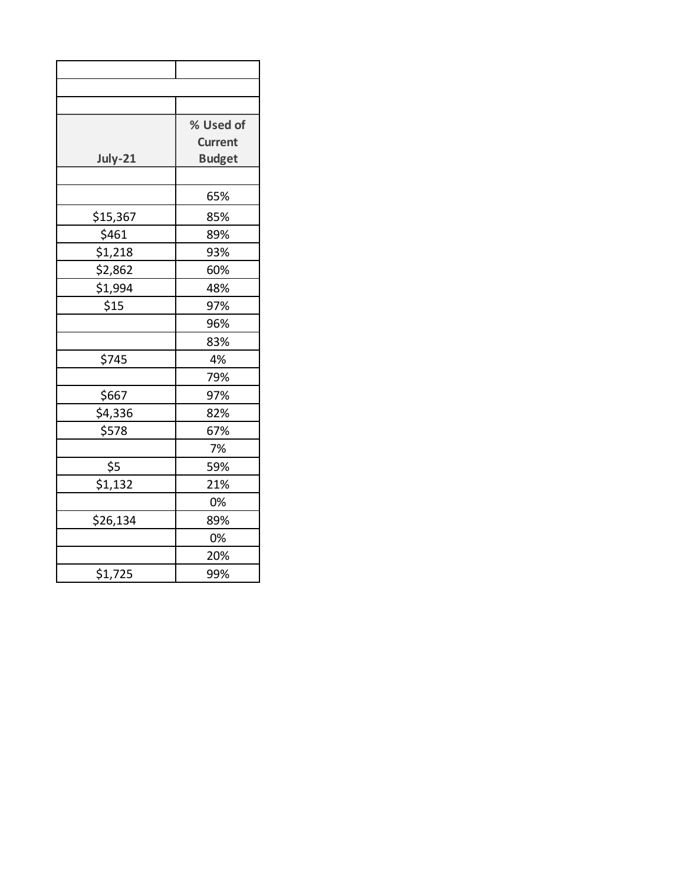|          | % Used of      |
|----------|----------------|
|          | <b>Current</b> |
| July-21  | <b>Budget</b>  |
|          |                |
|          | 65%            |
| \$15,367 | 85%            |
| \$461    | 89%            |
| \$1,218  | 93%            |
| \$2,862  | 60%            |
| \$1,994  | 48%            |
| \$15     | 97%            |
|          | 96%            |
|          | 83%            |
| \$745    | 4%             |
|          | 79%            |
| \$667    | 97%            |
| \$4,336  | 82%            |
| \$578    | 67%            |
|          | 7%             |
| \$5      | 59%            |
| \$1,132  | 21%            |
|          | 0%             |
| \$26,134 | 89%            |
|          | 0%             |
|          | 20%            |
| \$1,725  | 99%            |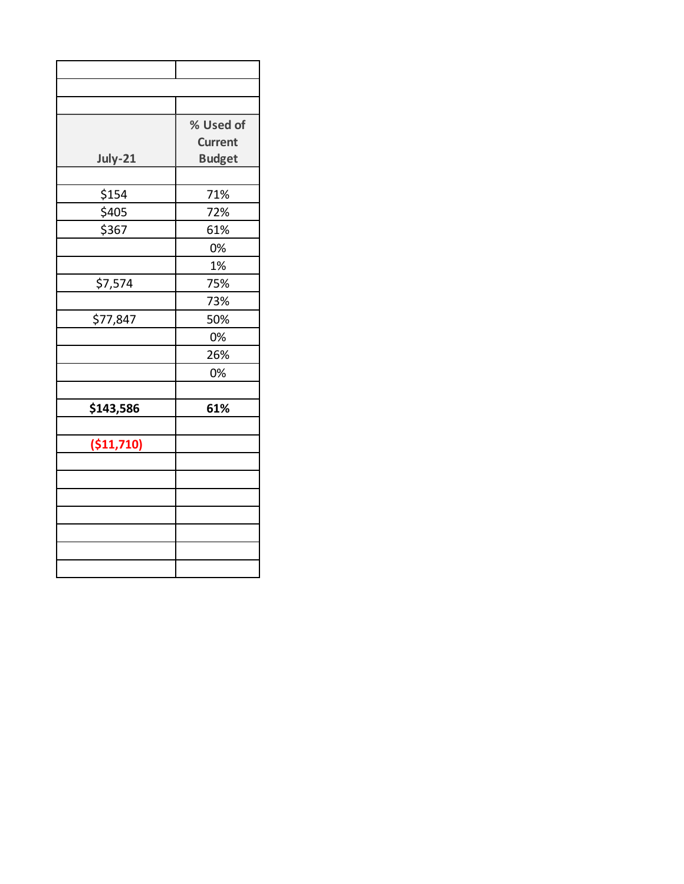|            | % Used of      |
|------------|----------------|
|            | <b>Current</b> |
| July-21    | <b>Budget</b>  |
|            |                |
| \$154      | 71%            |
| \$405      | 72%            |
| \$367      | 61%            |
|            | 0%             |
|            | 1%             |
| \$7,574    | 75%            |
|            | 73%            |
| \$77,847   | 50%            |
|            | 0%             |
|            | 26%            |
|            | 0%             |
|            |                |
| \$143,586  | 61%            |
|            |                |
| (\$11,710) |                |
|            |                |
|            |                |
|            |                |
|            |                |
|            |                |
|            |                |
|            |                |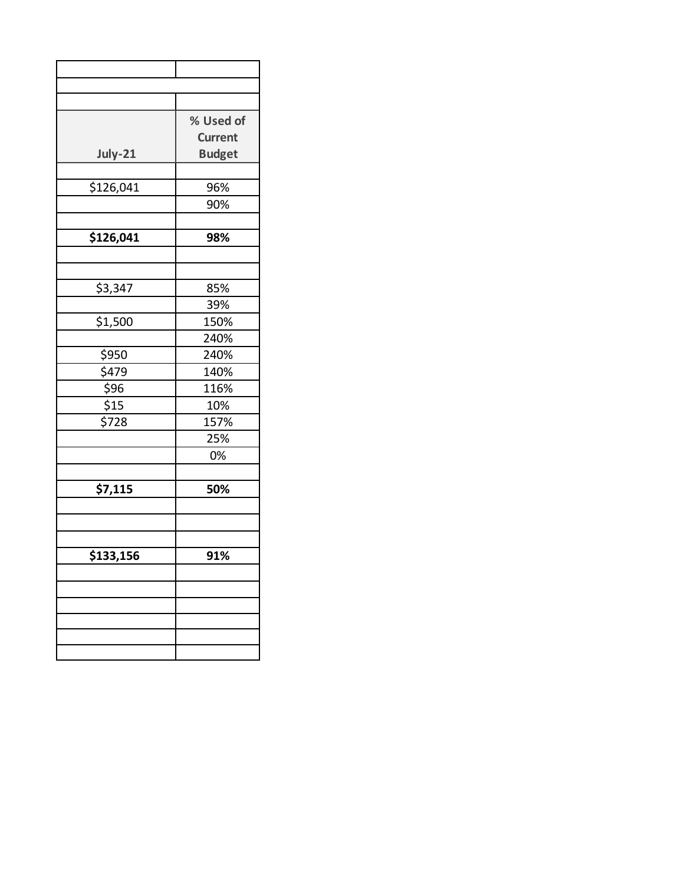|                | % Used of      |
|----------------|----------------|
|                | <b>Current</b> |
| <b>July-21</b> | <b>Budget</b>  |
|                |                |
| \$126,041      | 96%            |
|                | 90%            |
|                |                |
| \$126,041      | 98%            |
|                |                |
|                |                |
| \$3,347        | 85%            |
|                | 39%            |
| \$1,500        | 150%           |
|                | 240%           |
| \$950          | 240%           |
| \$479          | 140%           |
| \$96           | 116%           |
| \$15           | 10%            |
| \$728          | 157%           |
|                | 25%            |
|                | 0%             |
|                |                |
| \$7,115        | 50%            |
|                |                |
|                |                |
|                |                |
| \$133,156      | 91%            |
|                |                |
|                |                |
|                |                |
|                |                |
|                |                |
|                |                |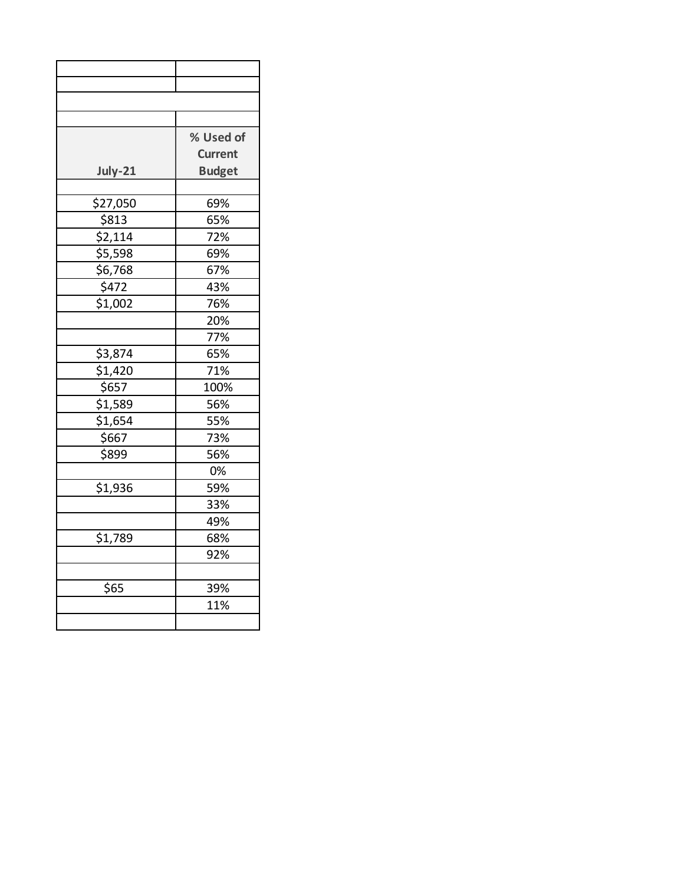|                    | % Used of      |
|--------------------|----------------|
|                    | <b>Current</b> |
| July-21            | <b>Budget</b>  |
|                    |                |
| \$27,050           | 69%            |
| \$813              | 65%            |
| \$2,114            | 72%            |
| \$5,598            | 69%            |
| \$6,768            | 67%            |
| 5472               | 43%            |
| $\frac{1}{51,002}$ | 76%            |
|                    | 20%            |
|                    | 77%            |
| \$3,874            | 65%            |
| \$1,420            | 71%            |
| \$657              | 100%           |
| \$1,589            | 56%            |
| \$1,654            | 55%            |
| \$667              | 73%            |
| \$899              | 56%            |
|                    | 0%             |
| \$1,936            | 59%            |
|                    | 33%            |
|                    | 49%            |
| \$1,789            | 68%            |
|                    | 92%            |
|                    |                |
| \$65               | 39%            |
|                    | 11%            |
|                    |                |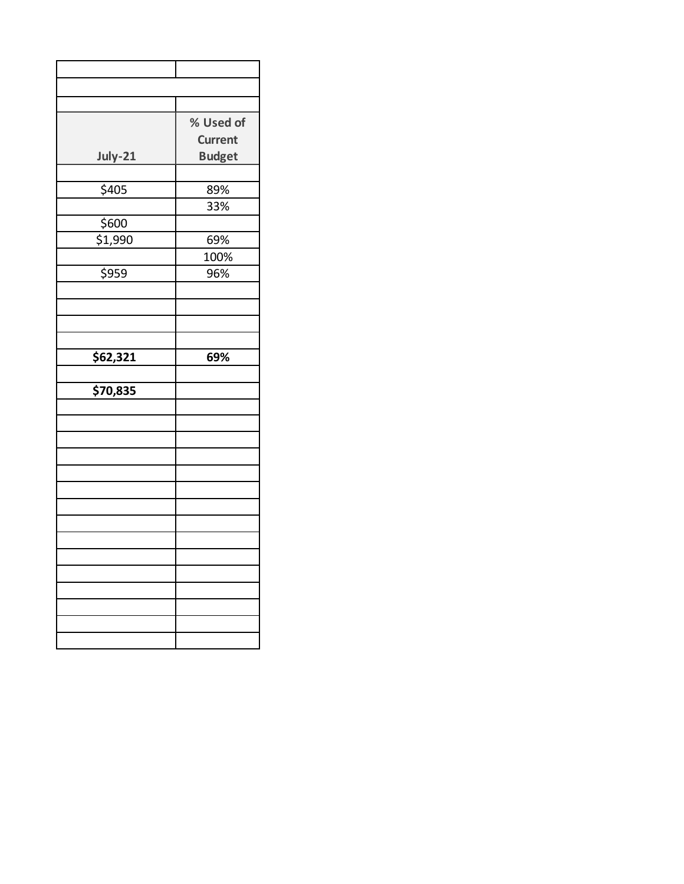|                      | % Used of      |
|----------------------|----------------|
|                      | <b>Current</b> |
| July-21              | <b>Budget</b>  |
|                      |                |
| \$405                | 89%            |
|                      | 33%            |
| \$600                |                |
| 51,990               | 69%            |
|                      | 100%           |
| \$959                | 96%            |
|                      |                |
|                      |                |
|                      |                |
|                      |                |
| \$62,321             | 69%            |
|                      |                |
| $\overline{$}70,835$ |                |
|                      |                |
|                      |                |
|                      |                |
|                      |                |
|                      |                |
|                      |                |
|                      |                |
|                      |                |
|                      |                |
|                      |                |
|                      |                |
|                      |                |
|                      |                |
|                      |                |
|                      |                |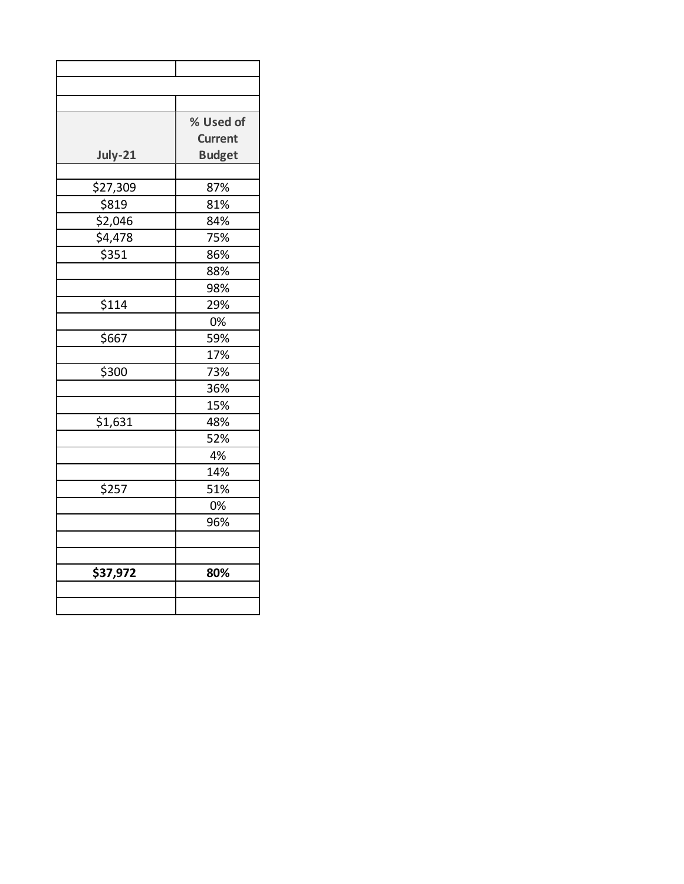|          | % Used of      |  |
|----------|----------------|--|
|          | <b>Current</b> |  |
| July-21  | <b>Budget</b>  |  |
|          |                |  |
| \$27,309 | 87%            |  |
| \$819    | 81%            |  |
| \$2,046  | 84%            |  |
| \$4,478  | 75%            |  |
| \$351    | 86%            |  |
|          | 88%            |  |
|          | 98%            |  |
| \$114    | 29%            |  |
|          | 0%             |  |
| \$667    | 59%            |  |
|          | 17%            |  |
| \$300    | 73%            |  |
|          | 36%            |  |
|          | 15%            |  |
| \$1,631  | 48%            |  |
|          | 52%            |  |
|          | 4%             |  |
|          | 14%            |  |
| \$257    | 51%            |  |
|          | 0%             |  |
|          | 96%            |  |
|          |                |  |
|          |                |  |
| \$37,972 | 80%            |  |
|          |                |  |
|          |                |  |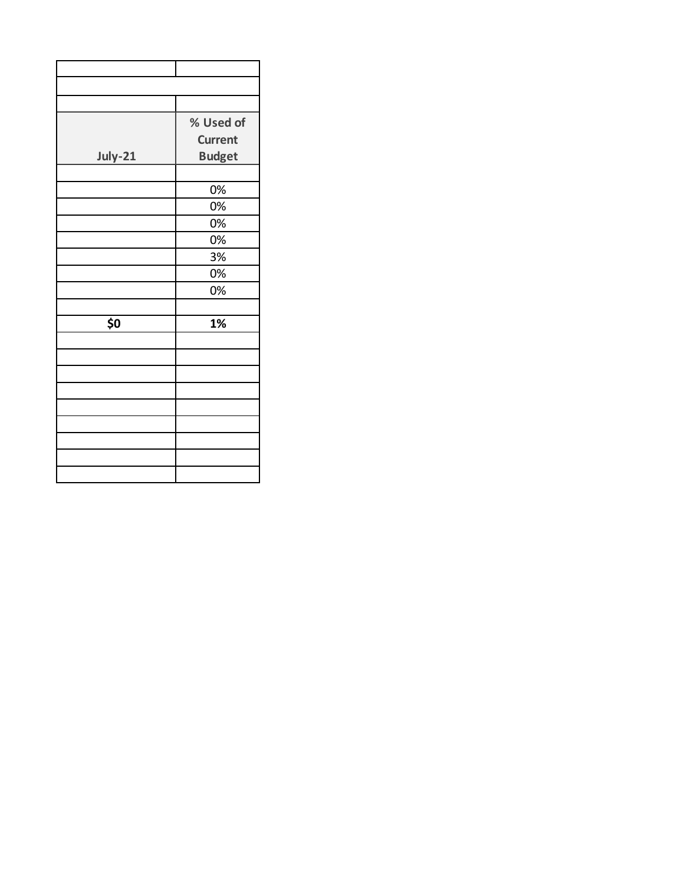|         | % Used of      |
|---------|----------------|
|         | <b>Current</b> |
| July-21 | <b>Budget</b>  |
|         |                |
|         | 0%             |
|         | 0%             |
|         | 0%             |
|         | 0%             |
|         | 3%             |
|         | 0%             |
|         | 0%             |
|         |                |
| \$0     | 1%             |
|         |                |
|         |                |
|         |                |
|         |                |
|         |                |
|         |                |
|         |                |
|         |                |
|         |                |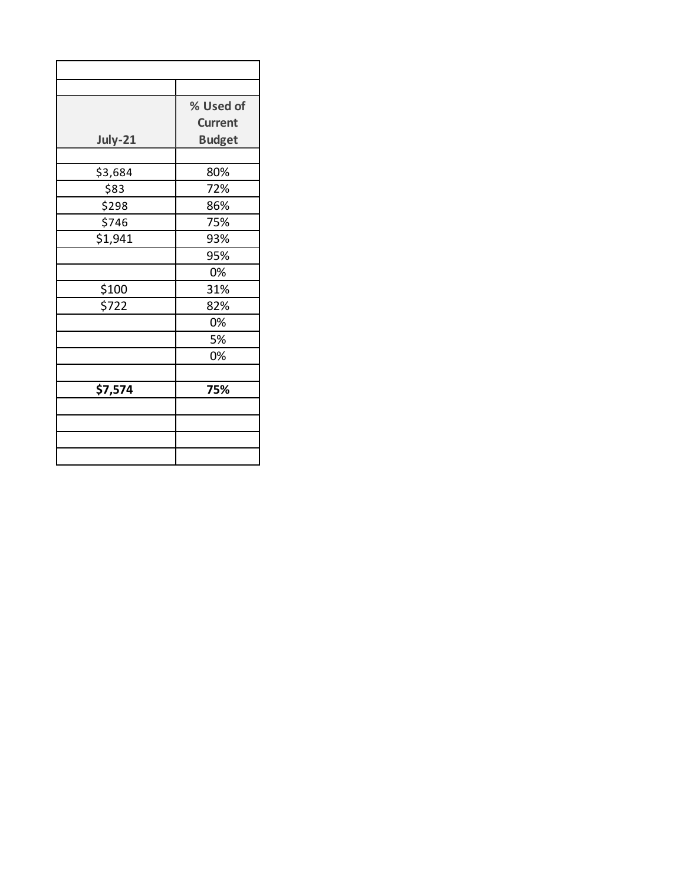|         | % Used of      |  |
|---------|----------------|--|
|         | <b>Current</b> |  |
| July-21 | <b>Budget</b>  |  |
|         |                |  |
| \$3,684 | 80%            |  |
| \$83    | 72%            |  |
| \$298   | 86%            |  |
| \$746   | 75%            |  |
| \$1,941 | 93%            |  |
|         | 95%            |  |
|         | 0%             |  |
| \$100   | 31%            |  |
| \$722   | 82%            |  |
|         | 0%             |  |
|         | 5%             |  |
|         | 0%             |  |
|         |                |  |
| \$7,574 | 75%            |  |
|         |                |  |
|         |                |  |
|         |                |  |
|         |                |  |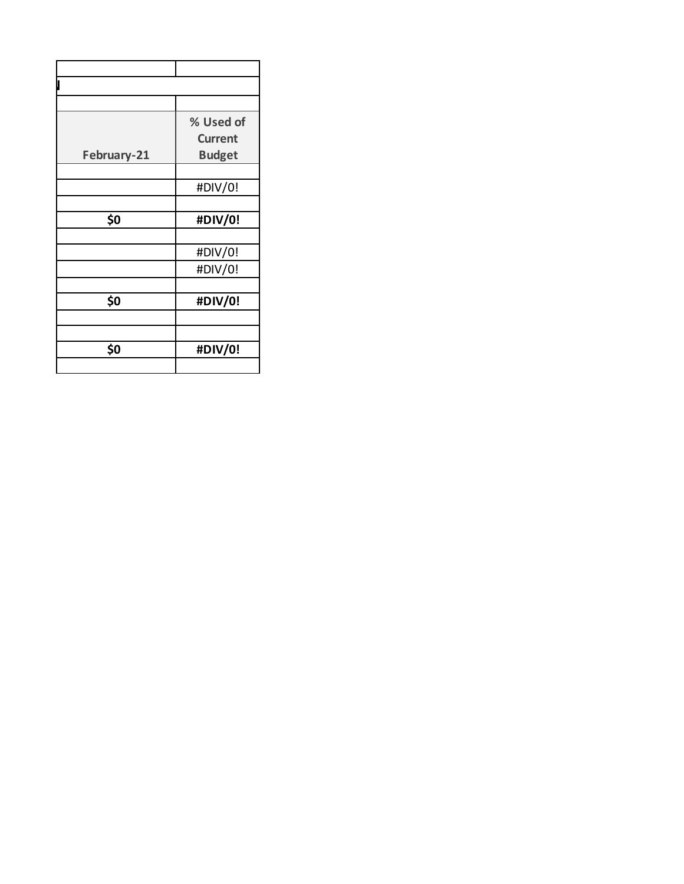|             | % Used of      |
|-------------|----------------|
|             | <b>Current</b> |
| February-21 | <b>Budget</b>  |
|             |                |
|             | #DIV/0!        |
|             |                |
| \$0         | #DIV/0!        |
|             |                |
|             | #DIV/0!        |
|             | #DIV/0!        |
|             |                |
| \$0         | #DIV/0!        |
|             |                |
|             |                |
| \$0         | #DIV/0!        |
|             |                |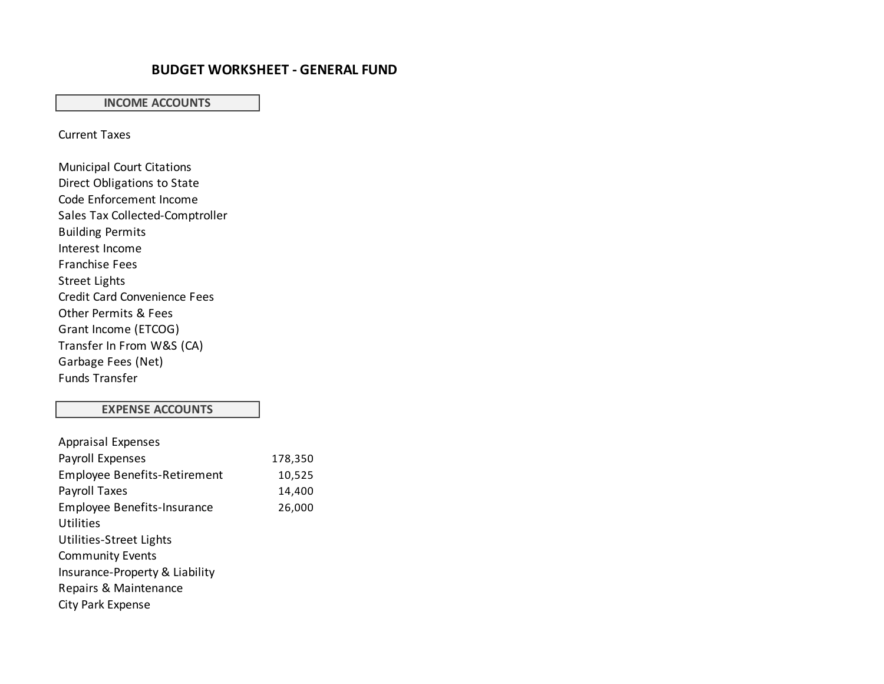## **BUDGET WORKSHEET - GENERAL FUND**

#### **INCOME ACCOUNTS**

Current Taxes

Municipal Court Citations Direct Obligations to State Code Enforcement Income Sales Tax Collected-Comptroller Building Permits Interest Income Franchise Fees Street Lights Credit Card Convenience Fees Other Permits & Fees Grant Income (ETCOG) Transfer In From W&S (CA) Garbage Fees (Net) Funds Transfer

#### **EXPENSE ACCOUNTS**

| <b>Appraisal Expenses</b>           |         |
|-------------------------------------|---------|
| Payroll Expenses                    | 178,350 |
| <b>Employee Benefits-Retirement</b> | 10,525  |
| Payroll Taxes                       | 14,400  |
| <b>Employee Benefits-Insurance</b>  | 26,000  |
| Utilities                           |         |
| Utilities-Street Lights             |         |
| <b>Community Events</b>             |         |
| Insurance-Property & Liability      |         |
| Repairs & Maintenance               |         |
| City Park Expense                   |         |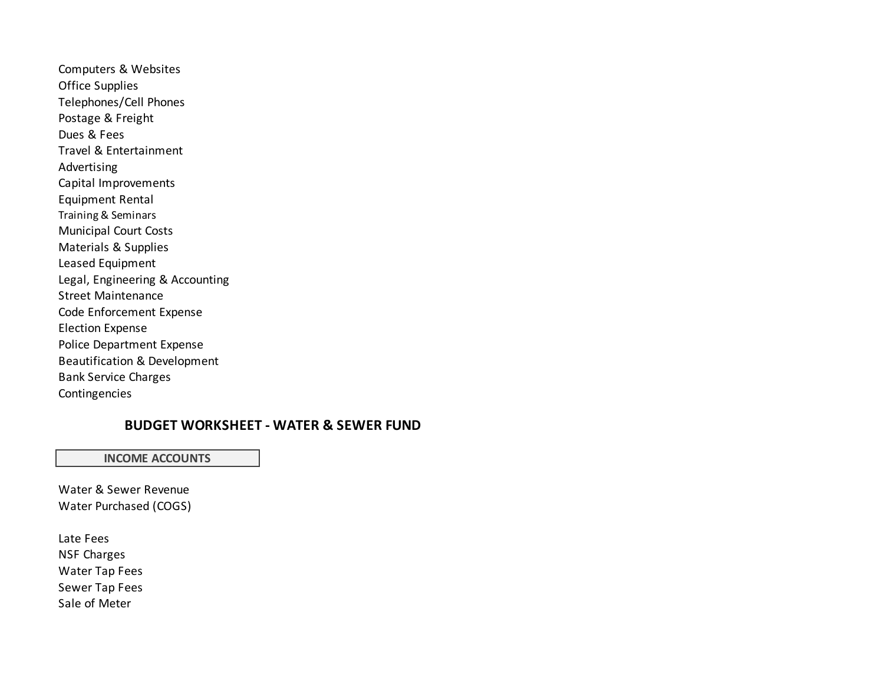Computers & Websites Office Supplies Telephones/Cell Phones Postage & Freight Dues & Fees Travel & Entertainment Advertising Capital Improvements Equipment Rental Training & Seminars Municipal Court Costs Materials & Supplies Leased Equipment Legal, Engineering & Accounting Street Maintenance Code Enforcement Expense Election Expense Police Department Expense Beautification & Development Bank Service Charges Contingencies

# **BUDGET WORKSHEET - WATER & SEWER FUND**

#### **INCOME ACCOUNTS**

Water & Sewer Revenue Water Purchased (COGS)

Late Fees NSF Charges Water Tap Fees Sewer Tap Fees Sale of Meter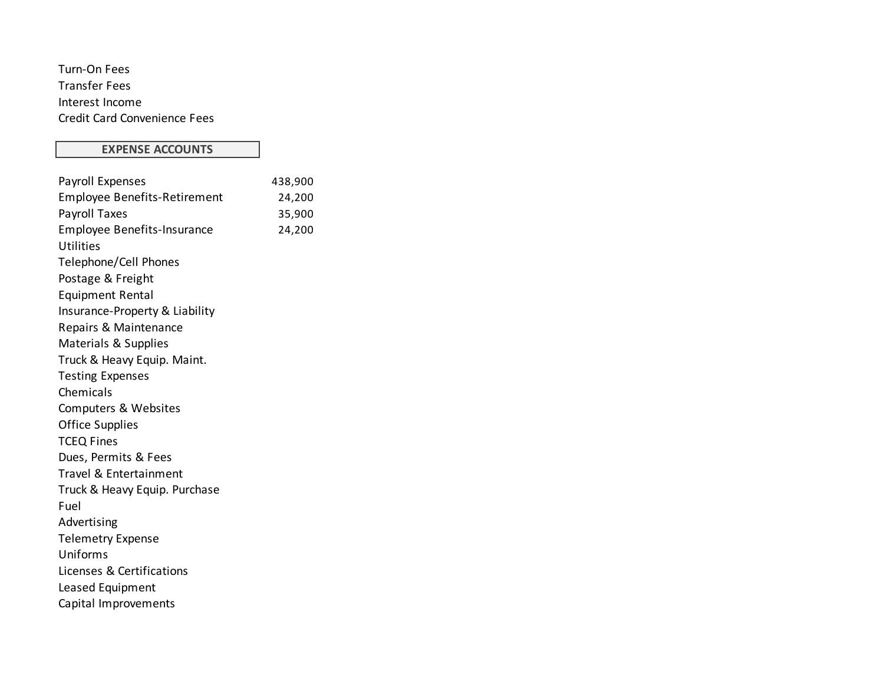Turn-On Fees Transfer Fees Interest Income Credit Card Convenience Fees

### **EXPENSE ACCOUNTS**

| Payroll Expenses                    | 438,900 |
|-------------------------------------|---------|
| <b>Employee Benefits-Retirement</b> | 24,200  |
| Payroll Taxes                       | 35,900  |
| Employee Benefits-Insurance         | 24,200  |
| Utilities                           |         |
| Telephone/Cell Phones               |         |
| Postage & Freight                   |         |
| <b>Equipment Rental</b>             |         |
| Insurance-Property & Liability      |         |
| Repairs & Maintenance               |         |
| Materials & Supplies                |         |
| Truck & Heavy Equip. Maint.         |         |
| <b>Testing Expenses</b>             |         |
| Chemicals                           |         |
| Computers & Websites                |         |
| <b>Office Supplies</b>              |         |
| <b>TCEQ Fines</b>                   |         |
| Dues, Permits & Fees                |         |
| Travel & Entertainment              |         |
| Truck & Heavy Equip. Purchase       |         |
| Fuel                                |         |
| Advertising                         |         |
| <b>Telemetry Expense</b>            |         |
| Uniforms                            |         |
| Licenses & Certifications           |         |
| Leased Equipment                    |         |
| Capital Improvements                |         |
|                                     |         |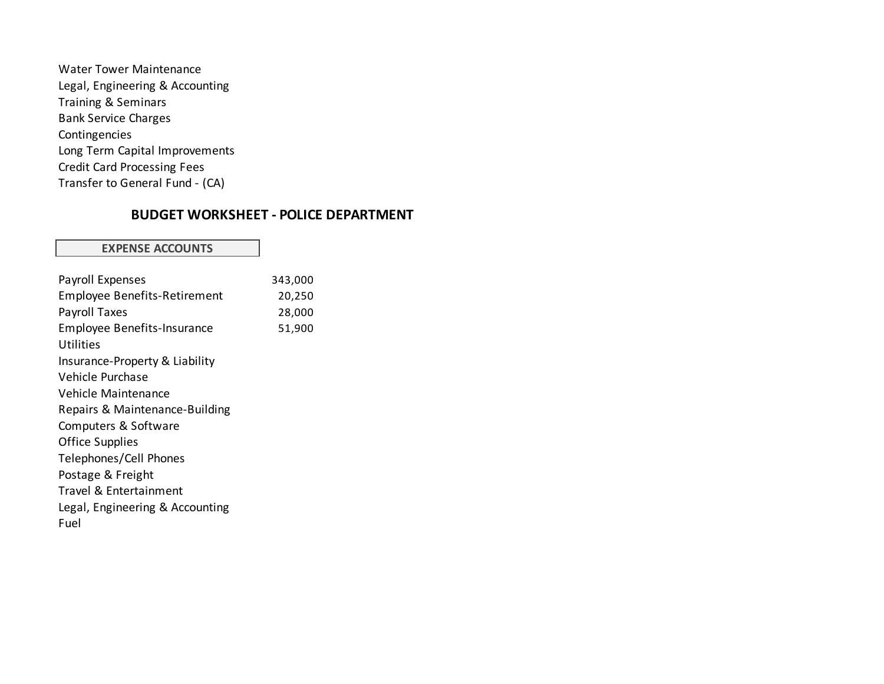| <b>Water Tower Maintenance</b>     |  |
|------------------------------------|--|
| Legal, Engineering & Accounting    |  |
| <b>Training &amp; Seminars</b>     |  |
| <b>Bank Service Charges</b>        |  |
| Contingencies                      |  |
| Long Term Capital Improvements     |  |
| <b>Credit Card Processing Fees</b> |  |
| Transfer to General Fund - (CA)    |  |

# **BUDGET WORKSHEET - POLICE DEPARTMENT**

#### **EXPENSE ACCOUNTS**

| Payroll Expenses                    | 343,000 |
|-------------------------------------|---------|
| <b>Employee Benefits-Retirement</b> | 20,250  |
| Payroll Taxes                       | 28,000  |
| <b>Employee Benefits-Insurance</b>  | 51,900  |
| Utilities                           |         |
| Insurance-Property & Liability      |         |
| Vehicle Purchase                    |         |
| Vehicle Maintenance                 |         |
| Repairs & Maintenance-Building      |         |
| Computers & Software                |         |
| <b>Office Supplies</b>              |         |
| Telephones/Cell Phones              |         |
| Postage & Freight                   |         |
| Travel & Entertainment              |         |
| Legal, Engineering & Accounting     |         |
| Fuel                                |         |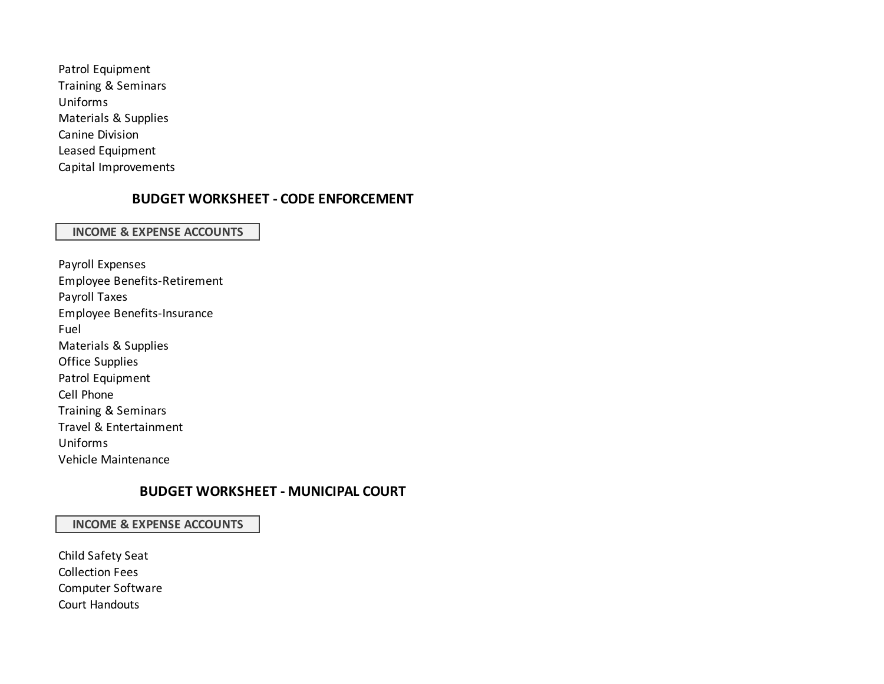Patrol Equipment Training & Seminars Uniforms Materials & Supplies Canine Division Leased Equipment Capital Improvements

## **BUDGET WORKSHEET - CODE ENFORCEMENT**

#### **INCOME & EXPENSE ACCOUNTS**

Payroll Expenses Employee Benefits-Retirement Payroll Taxes Employee Benefits-Insurance Fuel Materials & Supplies Office Supplies Patrol Equipment Cell Phone Training & Seminars Travel & Entertainment Uniforms Vehicle Maintenance

## **BUDGET WORKSHEET - MUNICIPAL COURT**

#### **INCOME & EXPENSE ACCOUNTS**

Child Safety Seat Collection Fees Computer Software Court Handouts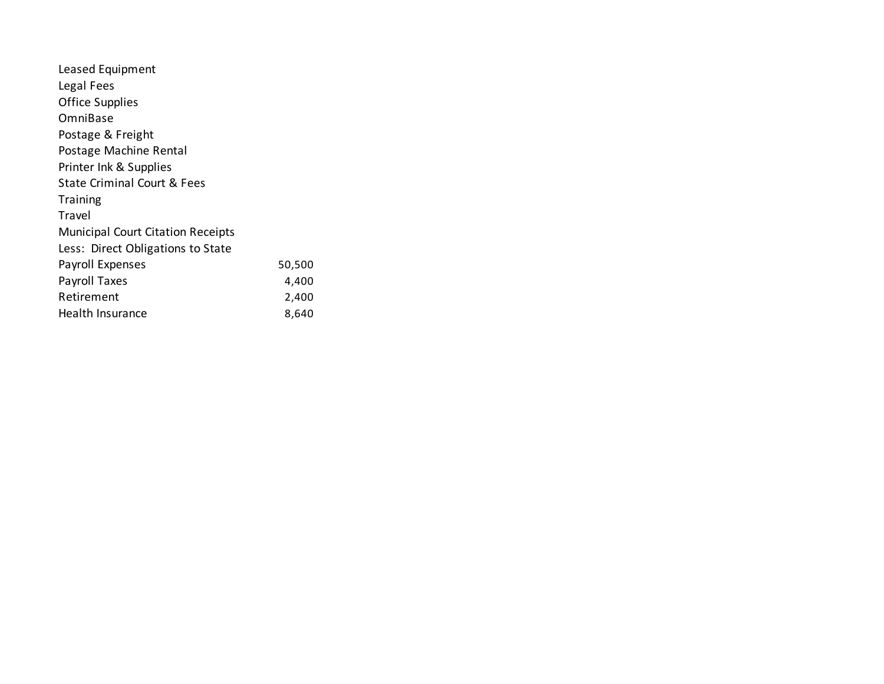| Leased Equipment                         |        |
|------------------------------------------|--------|
| Legal Fees                               |        |
| <b>Office Supplies</b>                   |        |
| OmniBase                                 |        |
| Postage & Freight                        |        |
| Postage Machine Rental                   |        |
| Printer Ink & Supplies                   |        |
| <b>State Criminal Court &amp; Fees</b>   |        |
| Training                                 |        |
| Travel                                   |        |
| <b>Municipal Court Citation Receipts</b> |        |
| Less: Direct Obligations to State        |        |
| Payroll Expenses                         | 50,500 |
| Payroll Taxes                            | 4,400  |
| Retirement                               | 2,400  |
| Health Insurance                         | 8,640  |
|                                          |        |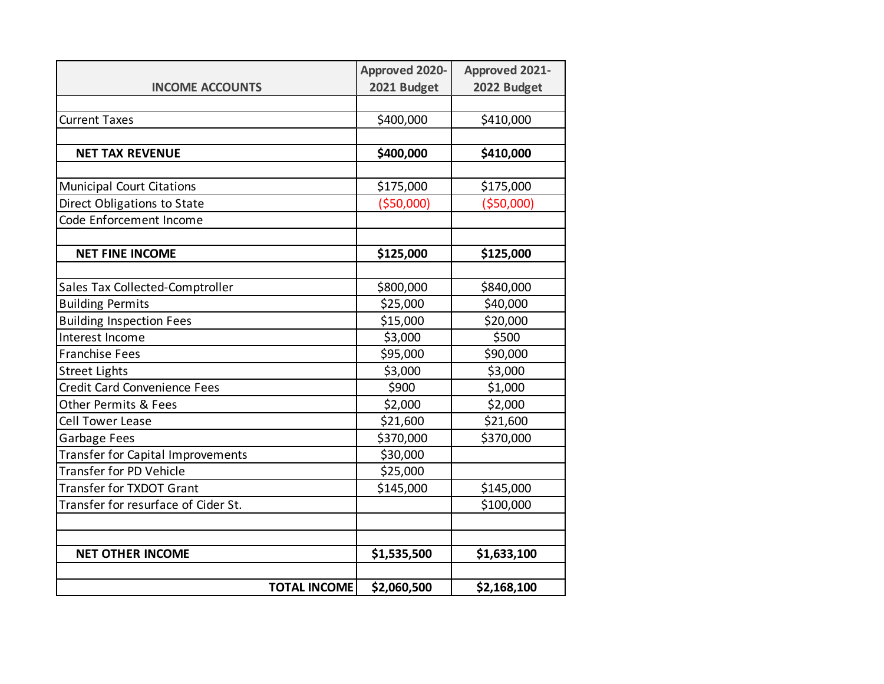|                                     | <b>Approved 2020-</b> | <b>Approved 2021-</b> |
|-------------------------------------|-----------------------|-----------------------|
| <b>INCOME ACCOUNTS</b>              | 2021 Budget           | 2022 Budget           |
|                                     |                       |                       |
| <b>Current Taxes</b>                | \$400,000             | \$410,000             |
|                                     |                       |                       |
| <b>NET TAX REVENUE</b>              | \$400,000             | \$410,000             |
|                                     |                       |                       |
| <b>Municipal Court Citations</b>    | \$175,000             | \$175,000             |
| Direct Obligations to State         | ( \$50,000]           | ( \$50,000]           |
| Code Enforcement Income             |                       |                       |
|                                     |                       |                       |
| <b>NET FINE INCOME</b>              | \$125,000             | \$125,000             |
|                                     |                       |                       |
| Sales Tax Collected-Comptroller     | \$800,000             | \$840,000             |
| <b>Building Permits</b>             | \$25,000              | \$40,000              |
| <b>Building Inspection Fees</b>     | \$15,000              | \$20,000              |
| Interest Income                     | \$3,000               | \$500                 |
| <b>Franchise Fees</b>               | \$95,000              | \$90,000              |
| <b>Street Lights</b>                | \$3,000               | \$3,000               |
| <b>Credit Card Convenience Fees</b> | \$900                 | \$1,000               |
| <b>Other Permits &amp; Fees</b>     | \$2,000               | \$2,000               |
| <b>Cell Tower Lease</b>             | \$21,600              | \$21,600              |
| Garbage Fees                        | \$370,000             | \$370,000             |
| Transfer for Capital Improvements   | \$30,000              |                       |
| Transfer for PD Vehicle             | \$25,000              |                       |
| Transfer for TXDOT Grant            | \$145,000             | \$145,000             |
| Transfer for resurface of Cider St. |                       | \$100,000             |
|                                     |                       |                       |
|                                     |                       |                       |
| <b>NET OTHER INCOME</b>             | \$1,535,500           | \$1,633,100           |
| <b>TOTAL INCOME</b>                 | \$2,060,500           | \$2,168,100           |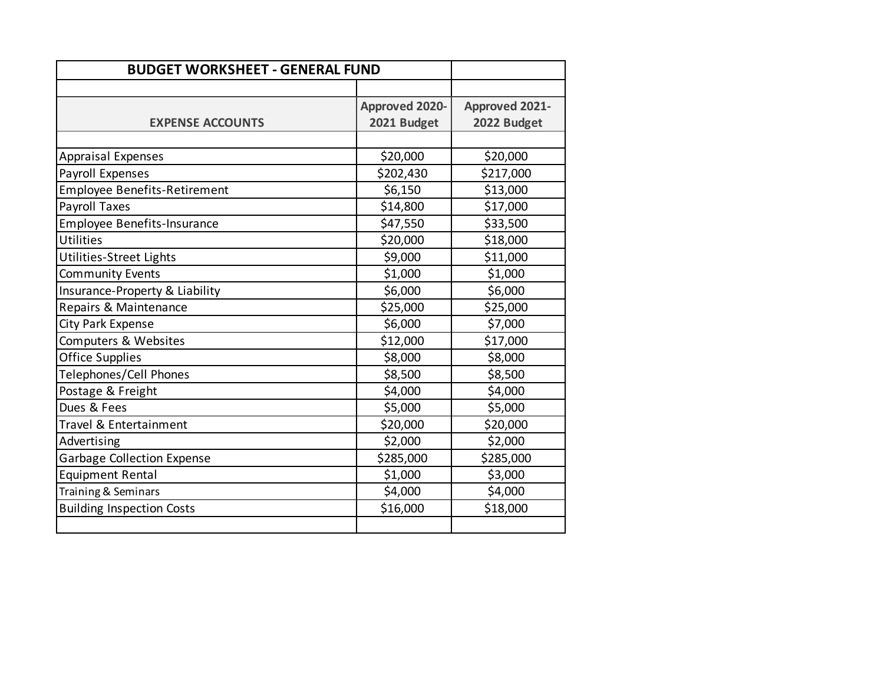| <b>BUDGET WORKSHEET - GENERAL FUND</b> |                       |                       |
|----------------------------------------|-----------------------|-----------------------|
|                                        |                       |                       |
|                                        | <b>Approved 2020-</b> | <b>Approved 2021-</b> |
| <b>EXPENSE ACCOUNTS</b>                | 2021 Budget           | 2022 Budget           |
|                                        |                       |                       |
| <b>Appraisal Expenses</b>              | \$20,000              | \$20,000              |
| Payroll Expenses                       | \$202,430             | \$217,000             |
| <b>Employee Benefits-Retirement</b>    | \$6,150               | \$13,000              |
| <b>Payroll Taxes</b>                   | \$14,800              | \$17,000              |
| <b>Employee Benefits-Insurance</b>     | \$47,550              | \$33,500              |
| <b>Utilities</b>                       | \$20,000              | \$18,000              |
| Utilities-Street Lights                | \$9,000               | \$11,000              |
| <b>Community Events</b>                | \$1,000               | \$1,000               |
| Insurance-Property & Liability         | \$6,000               | \$6,000               |
| Repairs & Maintenance                  | \$25,000              | \$25,000              |
| City Park Expense                      | \$6,000               | \$7,000               |
| Computers & Websites                   | \$12,000              | \$17,000              |
| <b>Office Supplies</b>                 | \$8,000               | \$8,000               |
| Telephones/Cell Phones                 | \$8,500               | \$8,500               |
| Postage & Freight                      | \$4,000               | \$4,000               |
| Dues & Fees                            | \$5,000               | \$5,000               |
| Travel & Entertainment                 | \$20,000              | \$20,000              |
| Advertising                            | \$2,000               | \$2,000               |
| <b>Garbage Collection Expense</b>      | \$285,000             | \$285,000             |
| <b>Equipment Rental</b>                | \$1,000               | \$3,000               |
| Training & Seminars                    | \$4,000               | \$4,000               |
| <b>Building Inspection Costs</b>       | \$16,000              | \$18,000              |
|                                        |                       |                       |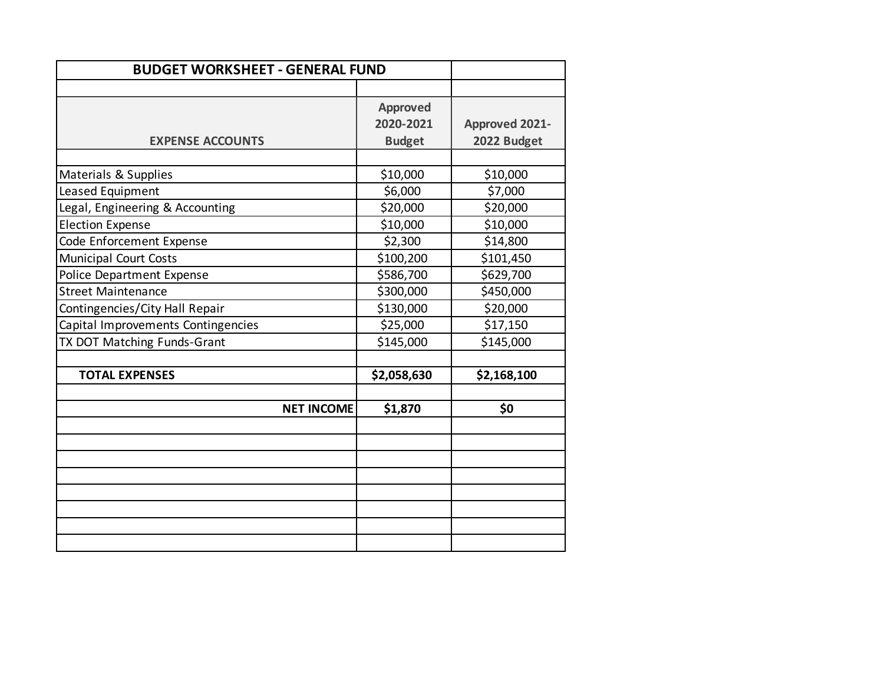| <b>BUDGET WORKSHEET - GENERAL FUND</b> |                 |                       |
|----------------------------------------|-----------------|-----------------------|
|                                        |                 |                       |
|                                        | <b>Approved</b> |                       |
|                                        | 2020-2021       | <b>Approved 2021-</b> |
| <b>EXPENSE ACCOUNTS</b>                | <b>Budget</b>   | 2022 Budget           |
|                                        |                 |                       |
| Materials & Supplies                   | \$10,000        | \$10,000              |
| Leased Equipment                       | \$6,000         | \$7,000               |
| Legal, Engineering & Accounting        | \$20,000        | \$20,000              |
| <b>Election Expense</b>                | \$10,000        | \$10,000              |
| Code Enforcement Expense               | \$2,300         | \$14,800              |
| <b>Municipal Court Costs</b>           | \$100,200       | \$101,450             |
| <b>Police Department Expense</b>       | \$586,700       | \$629,700             |
| <b>Street Maintenance</b>              | \$300,000       | \$450,000             |
| Contingencies/City Hall Repair         | \$130,000       | \$20,000              |
| Capital Improvements Contingencies     | \$25,000        | \$17,150              |
| TX DOT Matching Funds-Grant            | \$145,000       | \$145,000             |
|                                        |                 |                       |
| <b>TOTAL EXPENSES</b>                  | \$2,058,630     | \$2,168,100           |
|                                        |                 |                       |
| <b>NET INCOME</b>                      | \$1,870         | \$0                   |
|                                        |                 |                       |
|                                        |                 |                       |
|                                        |                 |                       |
|                                        |                 |                       |
|                                        |                 |                       |
|                                        |                 |                       |
|                                        |                 |                       |
|                                        |                 |                       |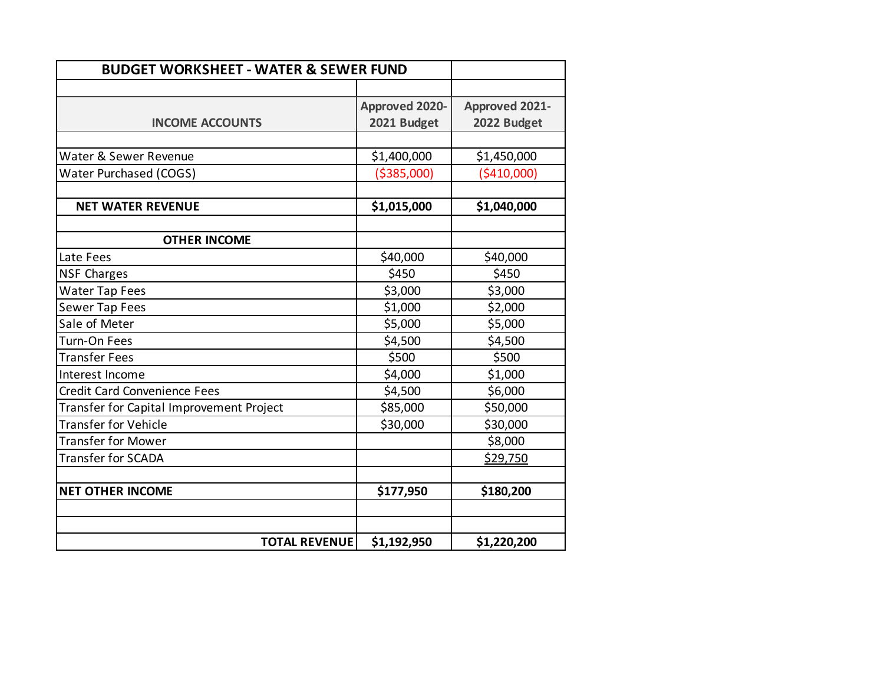| <b>BUDGET WORKSHEET - WATER &amp; SEWER FUND</b> |                       |                       |
|--------------------------------------------------|-----------------------|-----------------------|
|                                                  |                       |                       |
|                                                  | <b>Approved 2020-</b> | <b>Approved 2021-</b> |
| <b>INCOME ACCOUNTS</b>                           | 2021 Budget           | 2022 Budget           |
|                                                  |                       |                       |
| Water & Sewer Revenue                            | \$1,400,000           | \$1,450,000           |
| <b>Water Purchased (COGS)</b>                    | ( \$385,000)          | ( \$410,000]          |
| <b>NET WATER REVENUE</b>                         | \$1,015,000           | \$1,040,000           |
| <b>OTHER INCOME</b>                              |                       |                       |
| Late Fees                                        | \$40,000              | \$40,000              |
| <b>NSF Charges</b>                               | \$450                 | \$450                 |
| <b>Water Tap Fees</b>                            | \$3,000               | \$3,000               |
| <b>Sewer Tap Fees</b>                            | \$1,000               | \$2,000               |
| Sale of Meter                                    | \$5,000               | \$5,000               |
| Turn-On Fees                                     | \$4,500               | \$4,500               |
| <b>Transfer Fees</b>                             | \$500                 | \$500                 |
| Interest Income                                  | \$4,000               | \$1,000               |
| <b>Credit Card Convenience Fees</b>              | \$4,500               | \$6,000               |
| Transfer for Capital Improvement Project         | \$85,000              | \$50,000              |
| <b>Transfer for Vehicle</b>                      | \$30,000              | \$30,000              |
| <b>Transfer for Mower</b>                        |                       | \$8,000               |
| <b>Transfer for SCADA</b>                        |                       | \$29,750              |
| <b>NET OTHER INCOME</b>                          | \$177,950             | \$180,200             |
|                                                  |                       |                       |
|                                                  |                       |                       |
| <b>TOTAL REVENUE</b>                             | \$1,192,950           | \$1,220,200           |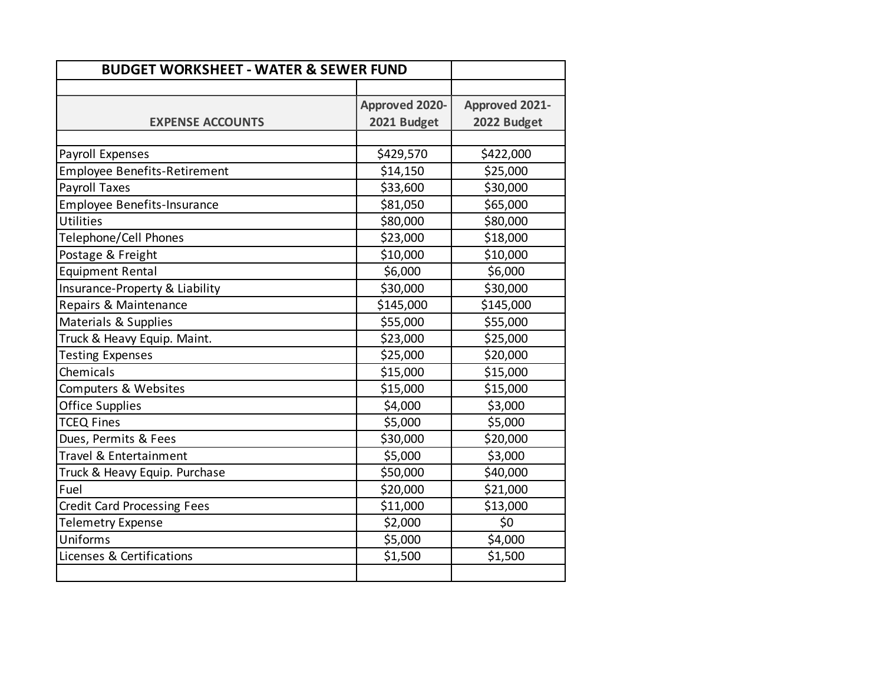| <b>BUDGET WORKSHEET - WATER &amp; SEWER FUND</b> |                       |                       |
|--------------------------------------------------|-----------------------|-----------------------|
|                                                  |                       |                       |
|                                                  | <b>Approved 2020-</b> | <b>Approved 2021-</b> |
| <b>EXPENSE ACCOUNTS</b>                          | 2021 Budget           | 2022 Budget           |
|                                                  |                       |                       |
| Payroll Expenses                                 | \$429,570             | \$422,000             |
| <b>Employee Benefits-Retirement</b>              | \$14,150              | \$25,000              |
| Payroll Taxes                                    | \$33,600              | \$30,000              |
| <b>Employee Benefits-Insurance</b>               | \$81,050              | \$65,000              |
| <b>Utilities</b>                                 | \$80,000              | \$80,000              |
| Telephone/Cell Phones                            | \$23,000              | \$18,000              |
| Postage & Freight                                | \$10,000              | \$10,000              |
| <b>Equipment Rental</b>                          | \$6,000               | \$6,000               |
| Insurance-Property & Liability                   | \$30,000              | \$30,000              |
| Repairs & Maintenance                            | \$145,000             | \$145,000             |
| Materials & Supplies                             | \$55,000              | \$55,000              |
| Truck & Heavy Equip. Maint.                      | \$23,000              | \$25,000              |
| <b>Testing Expenses</b>                          | \$25,000              | \$20,000              |
| Chemicals                                        | \$15,000              | \$15,000              |
| Computers & Websites                             | \$15,000              | \$15,000              |
| <b>Office Supplies</b>                           | \$4,000               | \$3,000               |
| <b>TCEQ Fines</b>                                | \$5,000               | \$5,000               |
| Dues, Permits & Fees                             | \$30,000              | \$20,000              |
| Travel & Entertainment                           | \$5,000               | \$3,000               |
| Truck & Heavy Equip. Purchase                    | \$50,000              | \$40,000              |
| Fuel                                             | \$20,000              | \$21,000              |
| <b>Credit Card Processing Fees</b>               | \$11,000              | \$13,000              |
| <b>Telemetry Expense</b>                         | \$2,000               | \$0                   |
| Uniforms                                         | \$5,000               | \$4,000               |
| Licenses & Certifications                        | \$1,500               | \$1,500               |
|                                                  |                       |                       |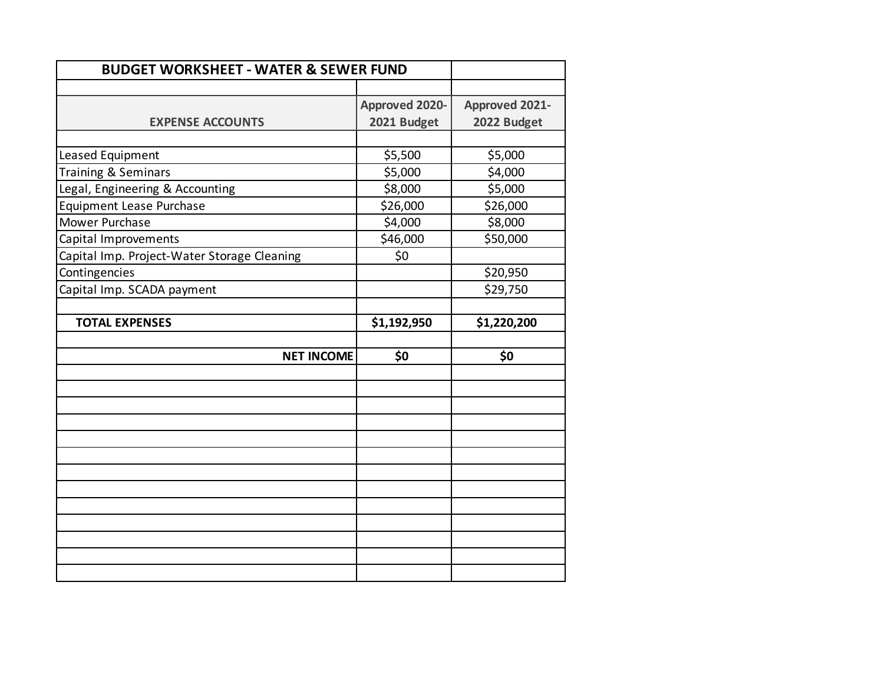| <b>BUDGET WORKSHEET - WATER &amp; SEWER FUND</b> |                       |                       |
|--------------------------------------------------|-----------------------|-----------------------|
|                                                  |                       |                       |
|                                                  | <b>Approved 2020-</b> | <b>Approved 2021-</b> |
| <b>EXPENSE ACCOUNTS</b>                          | 2021 Budget           | 2022 Budget           |
|                                                  |                       |                       |
| Leased Equipment                                 | \$5,500               | \$5,000               |
| Training & Seminars                              | \$5,000               | \$4,000               |
| Legal, Engineering & Accounting                  | \$8,000               | \$5,000               |
| Equipment Lease Purchase                         | \$26,000              | \$26,000              |
| Mower Purchase                                   | \$4,000               | \$8,000               |
| Capital Improvements                             | \$46,000              | \$50,000              |
| Capital Imp. Project-Water Storage Cleaning      | \$0                   |                       |
| Contingencies                                    |                       | \$20,950              |
| Capital Imp. SCADA payment                       |                       | \$29,750              |
|                                                  |                       |                       |
| <b>TOTAL EXPENSES</b>                            | \$1,192,950           | \$1,220,200           |
|                                                  |                       |                       |
| <b>NET INCOME</b>                                | \$0                   | \$0                   |
|                                                  |                       |                       |
|                                                  |                       |                       |
|                                                  |                       |                       |
|                                                  |                       |                       |
|                                                  |                       |                       |
|                                                  |                       |                       |
|                                                  |                       |                       |
|                                                  |                       |                       |
|                                                  |                       |                       |
|                                                  |                       |                       |
|                                                  |                       |                       |
|                                                  |                       |                       |
|                                                  |                       |                       |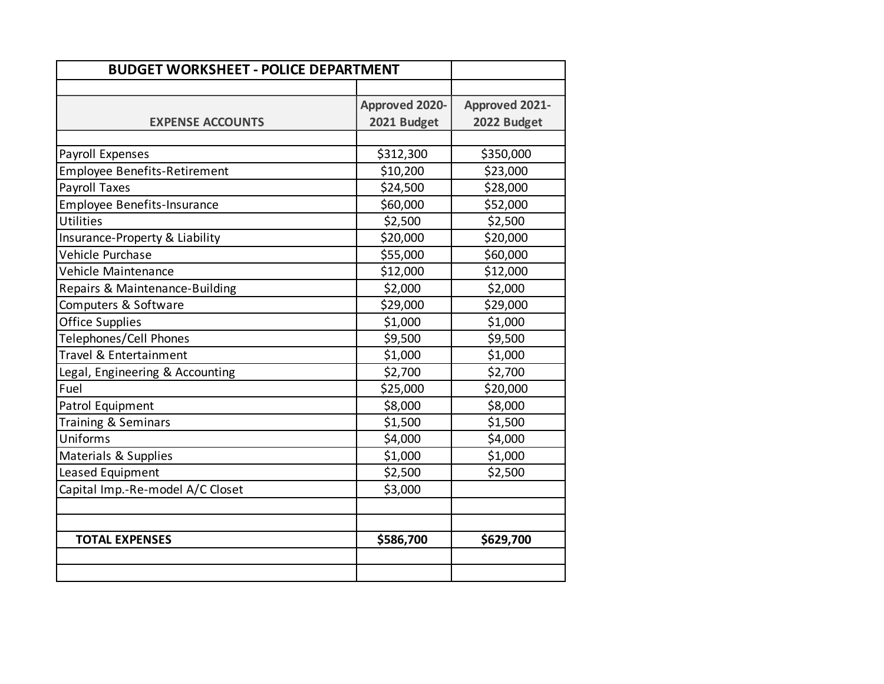| <b>BUDGET WORKSHEET - POLICE DEPARTMENT</b> |                       |                       |
|---------------------------------------------|-----------------------|-----------------------|
|                                             |                       |                       |
|                                             | <b>Approved 2020-</b> | <b>Approved 2021-</b> |
| <b>EXPENSE ACCOUNTS</b>                     | 2021 Budget           | 2022 Budget           |
|                                             |                       |                       |
| Payroll Expenses                            | \$312,300             | \$350,000             |
| <b>Employee Benefits-Retirement</b>         | \$10,200              | \$23,000              |
| <b>Payroll Taxes</b>                        | \$24,500              | \$28,000              |
| <b>Employee Benefits-Insurance</b>          | \$60,000              | \$52,000              |
| Utilities                                   | \$2,500               | \$2,500               |
| Insurance-Property & Liability              | \$20,000              | \$20,000              |
| Vehicle Purchase                            | \$55,000              | \$60,000              |
| Vehicle Maintenance                         | \$12,000              | \$12,000              |
| Repairs & Maintenance-Building              | \$2,000               | \$2,000               |
| Computers & Software                        | \$29,000              | \$29,000              |
| <b>Office Supplies</b>                      | \$1,000               | \$1,000               |
| Telephones/Cell Phones                      | \$9,500               | \$9,500               |
| Travel & Entertainment                      | \$1,000               | \$1,000               |
| Legal, Engineering & Accounting             | \$2,700               | \$2,700               |
| Fuel                                        | \$25,000              | \$20,000              |
| Patrol Equipment                            | \$8,000               | \$8,000               |
| Training & Seminars                         | \$1,500               | \$1,500               |
| Uniforms                                    | \$4,000               | \$4,000               |
| Materials & Supplies                        | \$1,000               | \$1,000               |
| Leased Equipment                            | \$2,500               | \$2,500               |
| Capital Imp.-Re-model A/C Closet            | \$3,000               |                       |
|                                             |                       |                       |
| <b>TOTAL EXPENSES</b>                       | \$586,700             | \$629,700             |
|                                             |                       |                       |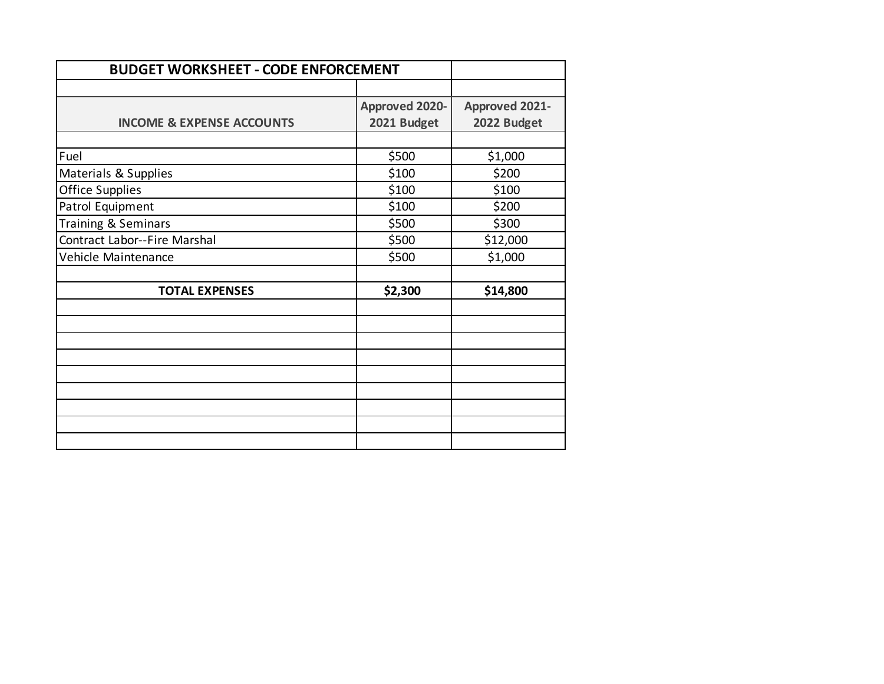| <b>BUDGET WORKSHEET - CODE ENFORCEMENT</b> |                       |                       |
|--------------------------------------------|-----------------------|-----------------------|
|                                            |                       |                       |
|                                            | <b>Approved 2020-</b> | <b>Approved 2021-</b> |
| <b>INCOME &amp; EXPENSE ACCOUNTS</b>       | 2021 Budget           | 2022 Budget           |
|                                            |                       |                       |
| Fuel                                       | \$500                 | \$1,000               |
| Materials & Supplies                       | \$100                 | \$200                 |
| <b>Office Supplies</b>                     | \$100                 | \$100                 |
| Patrol Equipment                           | \$100                 | \$200                 |
| Training & Seminars                        | \$500                 | \$300                 |
| Contract Labor--Fire Marshal               | \$500                 | \$12,000              |
| Vehicle Maintenance                        | \$500                 | \$1,000               |
|                                            |                       |                       |
| <b>TOTAL EXPENSES</b>                      | \$2,300               | \$14,800              |
|                                            |                       |                       |
|                                            |                       |                       |
|                                            |                       |                       |
|                                            |                       |                       |
|                                            |                       |                       |
|                                            |                       |                       |
|                                            |                       |                       |
|                                            |                       |                       |
|                                            |                       |                       |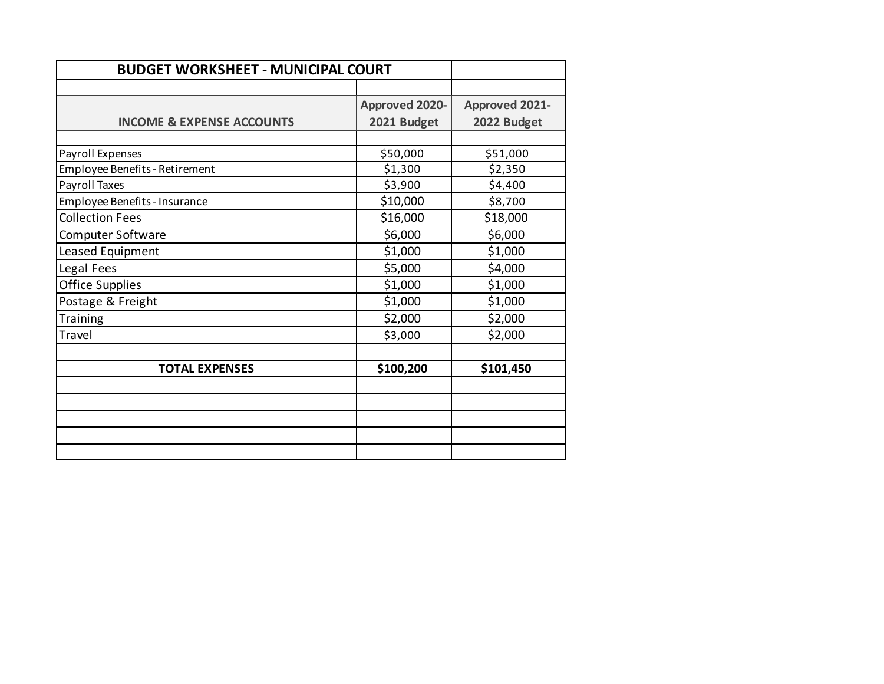| <b>BUDGET WORKSHEET - MUNICIPAL COURT</b> |                       |                       |
|-------------------------------------------|-----------------------|-----------------------|
|                                           |                       |                       |
|                                           | <b>Approved 2020-</b> | <b>Approved 2021-</b> |
| <b>INCOME &amp; EXPENSE ACCOUNTS</b>      | 2021 Budget           | 2022 Budget           |
|                                           |                       |                       |
| Payroll Expenses                          | \$50,000              | \$51,000              |
| Employee Benefits - Retirement            | \$1,300               | \$2,350               |
| Payroll Taxes                             | \$3,900               | \$4,400               |
| Employee Benefits - Insurance             | \$10,000              | \$8,700               |
| <b>Collection Fees</b>                    | \$16,000              | \$18,000              |
| Computer Software                         | \$6,000               | \$6,000               |
| Leased Equipment                          | \$1,000               | \$1,000               |
| Legal Fees                                | \$5,000               | \$4,000               |
| <b>Office Supplies</b>                    | \$1,000               | \$1,000               |
| Postage & Freight                         | \$1,000               | \$1,000               |
| Training                                  | \$2,000               | \$2,000               |
| Travel                                    | \$3,000               | \$2,000               |
| <b>TOTAL EXPENSES</b>                     | \$100,200             | \$101,450             |
|                                           |                       |                       |
|                                           |                       |                       |
|                                           |                       |                       |
|                                           |                       |                       |
|                                           |                       |                       |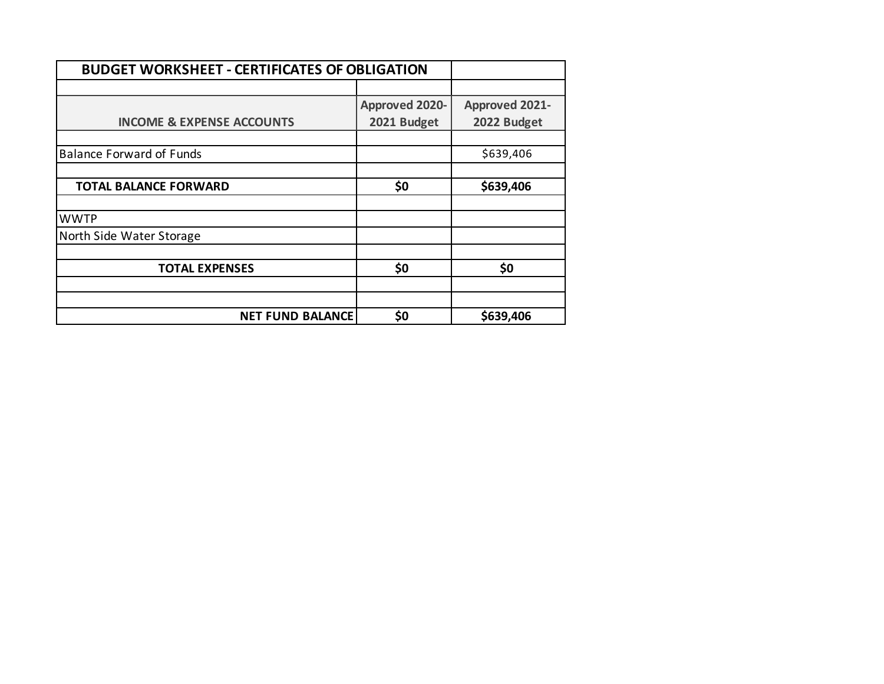| <b>BUDGET WORKSHEET - CERTIFICATES OF OBLIGATION</b> |                       |                       |
|------------------------------------------------------|-----------------------|-----------------------|
|                                                      |                       |                       |
|                                                      | <b>Approved 2020-</b> | <b>Approved 2021-</b> |
| <b>INCOME &amp; EXPENSE ACCOUNTS</b>                 | 2021 Budget           | 2022 Budget           |
|                                                      |                       |                       |
| <b>Balance Forward of Funds</b>                      |                       | \$639,406             |
|                                                      |                       |                       |
| <b>TOTAL BALANCE FORWARD</b>                         | \$0                   | \$639,406             |
|                                                      |                       |                       |
| <b>WWTP</b>                                          |                       |                       |
| North Side Water Storage                             |                       |                       |
|                                                      |                       |                       |
| <b>TOTAL EXPENSES</b>                                | \$0                   | \$0                   |
|                                                      |                       |                       |
|                                                      |                       |                       |
| <b>NET FUND BALANCE</b>                              | \$0                   | \$639,406             |